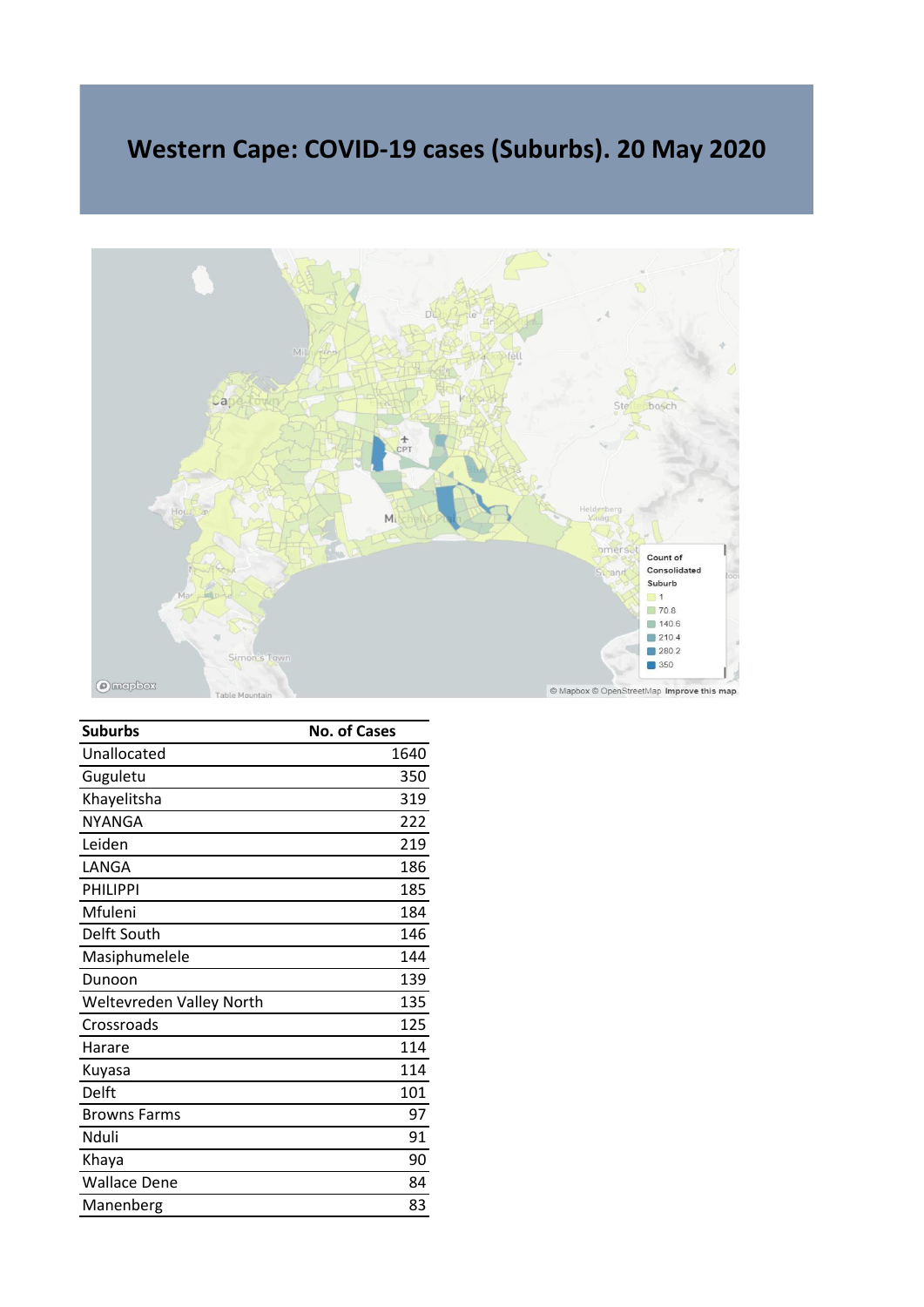## **Western Cape: COVID-19 cases (Suburbs). 20 May 2020**



| <b>Suburbs</b>           | <b>No. of Cases</b> |
|--------------------------|---------------------|
| Unallocated              | 1640                |
| Guguletu                 | 350                 |
| Khayelitsha              | 319                 |
| <b>NYANGA</b>            | 222                 |
| Leiden                   | 219                 |
| LANGA                    | 186                 |
| <b>PHILIPPI</b>          | 185                 |
| Mfuleni                  | 184                 |
| Delft South              | 146                 |
| Masiphumelele            | 144                 |
| Dunoon                   | 139                 |
| Weltevreden Valley North | 135                 |
| Crossroads               | 125                 |
| Harare                   | 114                 |
| Kuyasa                   | 114                 |
| Delft                    | 101                 |
| <b>Browns Farms</b>      | 97                  |
| Nduli                    | 91                  |
| Khaya                    | 90                  |
| <b>Wallace Dene</b>      | 84                  |
| Manenberg                | 83                  |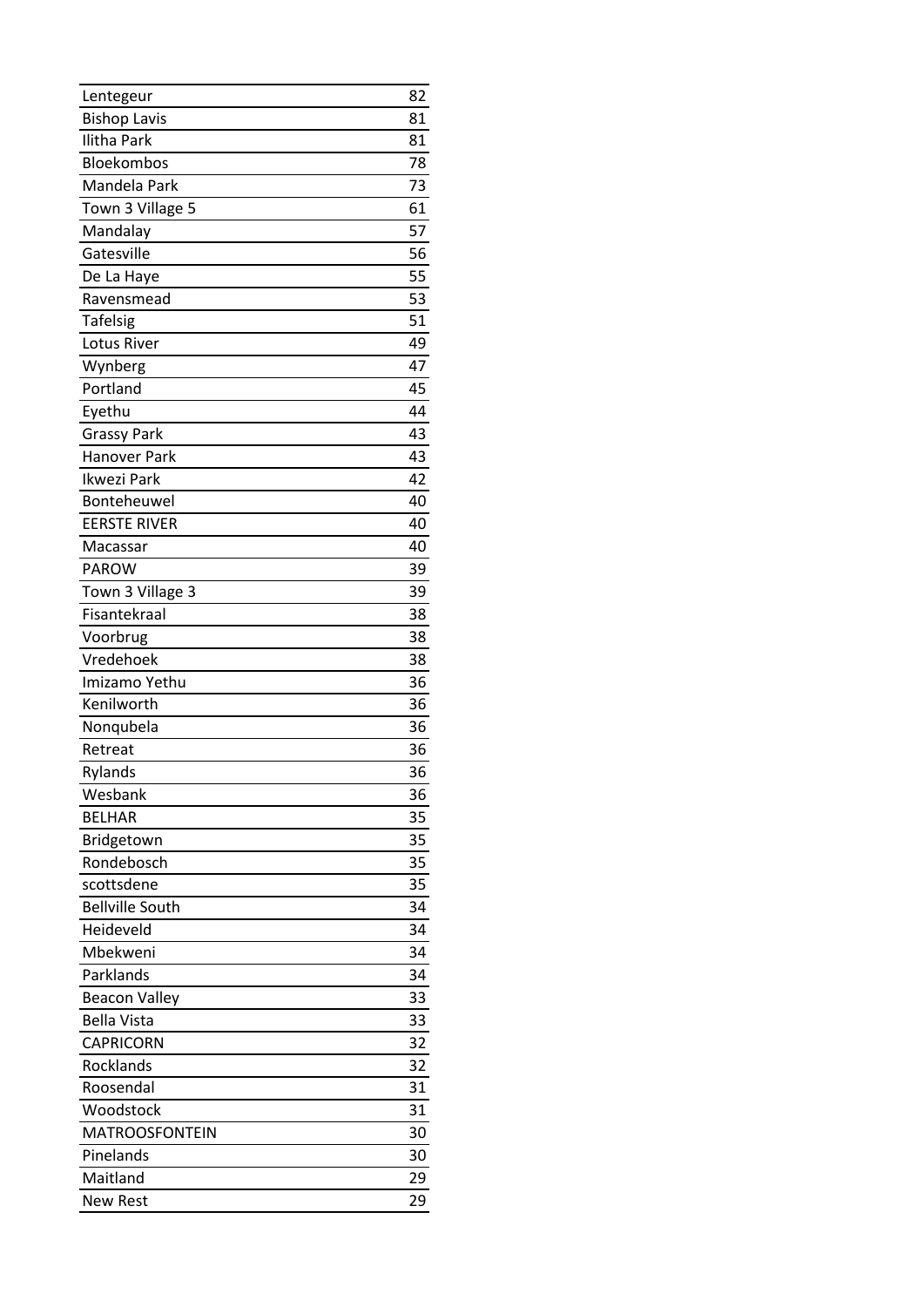| Lentegeur              | 82 |
|------------------------|----|
| <b>Bishop Lavis</b>    | 81 |
| <b>Ilitha Park</b>     | 81 |
| Bloekombos             | 78 |
| Mandela Park           | 73 |
| Town 3 Village 5       | 61 |
| Mandalay               | 57 |
| Gatesville             | 56 |
| De La Haye             | 55 |
| Ravensmead             | 53 |
| <b>Tafelsig</b>        | 51 |
| Lotus River            | 49 |
| Wynberg                | 47 |
| Portland               | 45 |
| Eyethu                 | 44 |
| <b>Grassy Park</b>     | 43 |
| <b>Hanover Park</b>    | 43 |
| Ikwezi Park            | 42 |
| Bonteheuwel            | 40 |
| <b>EERSTE RIVER</b>    | 40 |
| Macassar               | 40 |
| PAROW                  | 39 |
| Town 3 Village 3       | 39 |
| Fisantekraal           | 38 |
| Voorbrug               | 38 |
| Vredehoek              | 38 |
| Imizamo Yethu          | 36 |
| Kenilworth             | 36 |
| Nonqubela              | 36 |
| Retreat                | 36 |
| Rylands                | 36 |
| Wesbank                | 36 |
| <b>BELHAR</b>          | 35 |
| Bridgetown             | 35 |
| Rondebosch             | 35 |
| scottsdene             | 35 |
| <b>Bellville South</b> | 34 |
| Heideveld              | 34 |
| Mbekweni               | 34 |
| Parklands              | 34 |
| <b>Beacon Valley</b>   | 33 |
| <b>Bella Vista</b>     | 33 |
| <b>CAPRICORN</b>       | 32 |
| Rocklands              | 32 |
| Roosendal              | 31 |
| Woodstock              | 31 |
| <b>MATROOSFONTEIN</b>  | 30 |
| Pinelands              | 30 |
| Maitland               | 29 |
| <b>New Rest</b>        | 29 |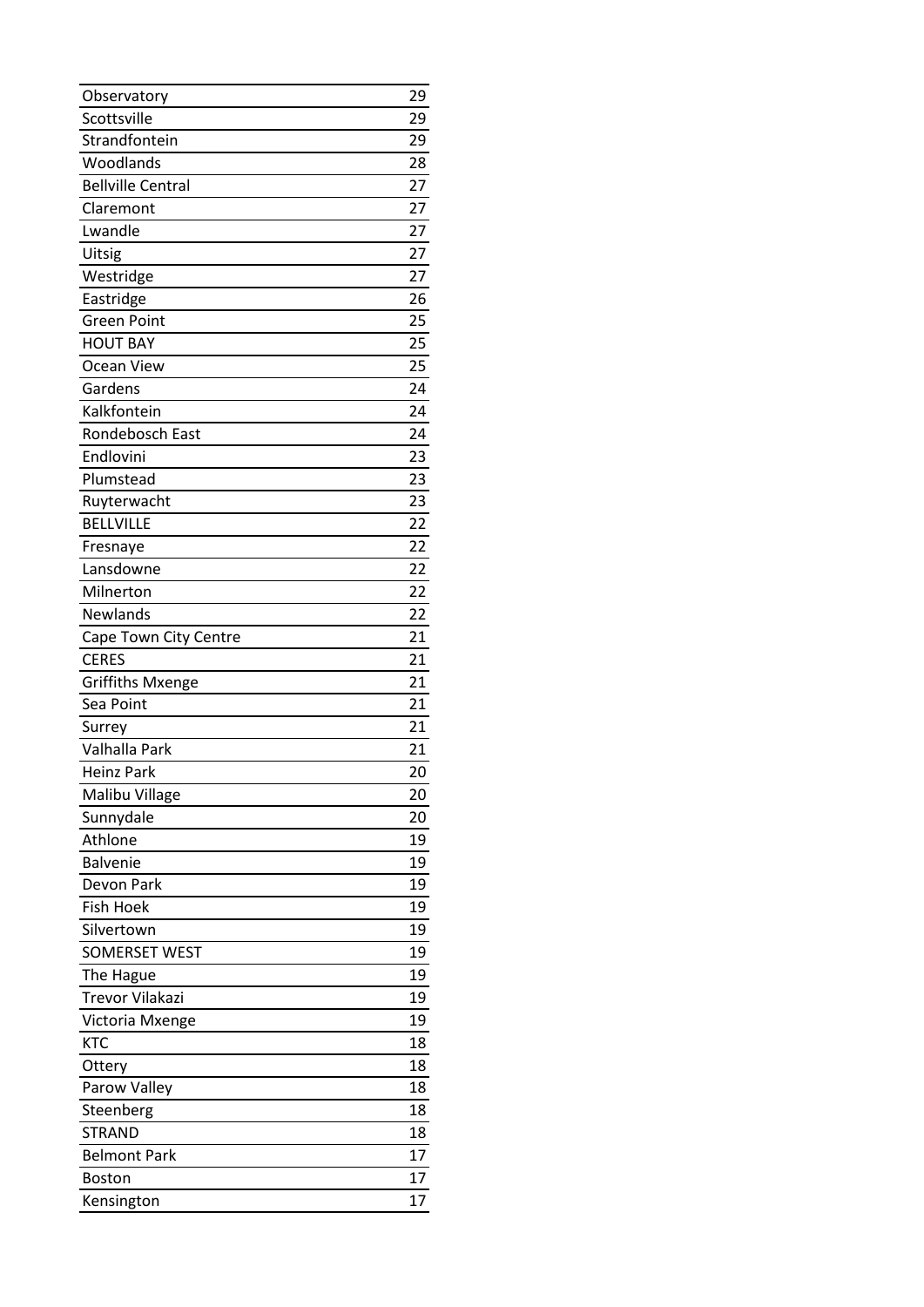| Observatory              | 29 |
|--------------------------|----|
| Scottsville              | 29 |
| Strandfontein            | 29 |
| Woodlands                | 28 |
| <b>Bellville Central</b> | 27 |
| Claremont                | 27 |
| Lwandle                  | 27 |
| Uitsig                   | 27 |
| Westridge                | 27 |
| Eastridge                | 26 |
| <b>Green Point</b>       | 25 |
| <b>HOUT BAY</b>          | 25 |
| Ocean View               | 25 |
| Gardens                  | 24 |
| Kalkfontein              | 24 |
| Rondebosch East          | 24 |
| Endlovini                | 23 |
| Plumstead                | 23 |
| Ruyterwacht              | 23 |
| <b>BELLVILLE</b>         | 22 |
| Fresnaye                 | 22 |
| Lansdowne                | 22 |
| Milnerton                | 22 |
| Newlands                 | 22 |
| Cape Town City Centre    | 21 |
|                          |    |
| <b>CERES</b>             | 21 |
| <b>Griffiths Mxenge</b>  | 21 |
| Sea Point                | 21 |
| Surrey                   | 21 |
| Valhalla Park            | 21 |
| <b>Heinz Park</b>        | 20 |
| Malibu Village           | 20 |
| Sunnydale                | 20 |
| Athlone                  | 19 |
| <b>Balvenie</b>          | 19 |
| Devon Park               | 19 |
| <b>Fish Hoek</b>         | 19 |
| Silvertown               | 19 |
| <b>SOMERSET WEST</b>     | 19 |
| The Hague                | 19 |
| <b>Trevor Vilakazi</b>   | 19 |
| Victoria Mxenge          | 19 |
| <b>KTC</b>               | 18 |
| Ottery                   | 18 |
| Parow Valley             | 18 |
| Steenberg                | 18 |
| <b>STRAND</b>            | 18 |
| <b>Belmont Park</b>      | 17 |
| <b>Boston</b>            | 17 |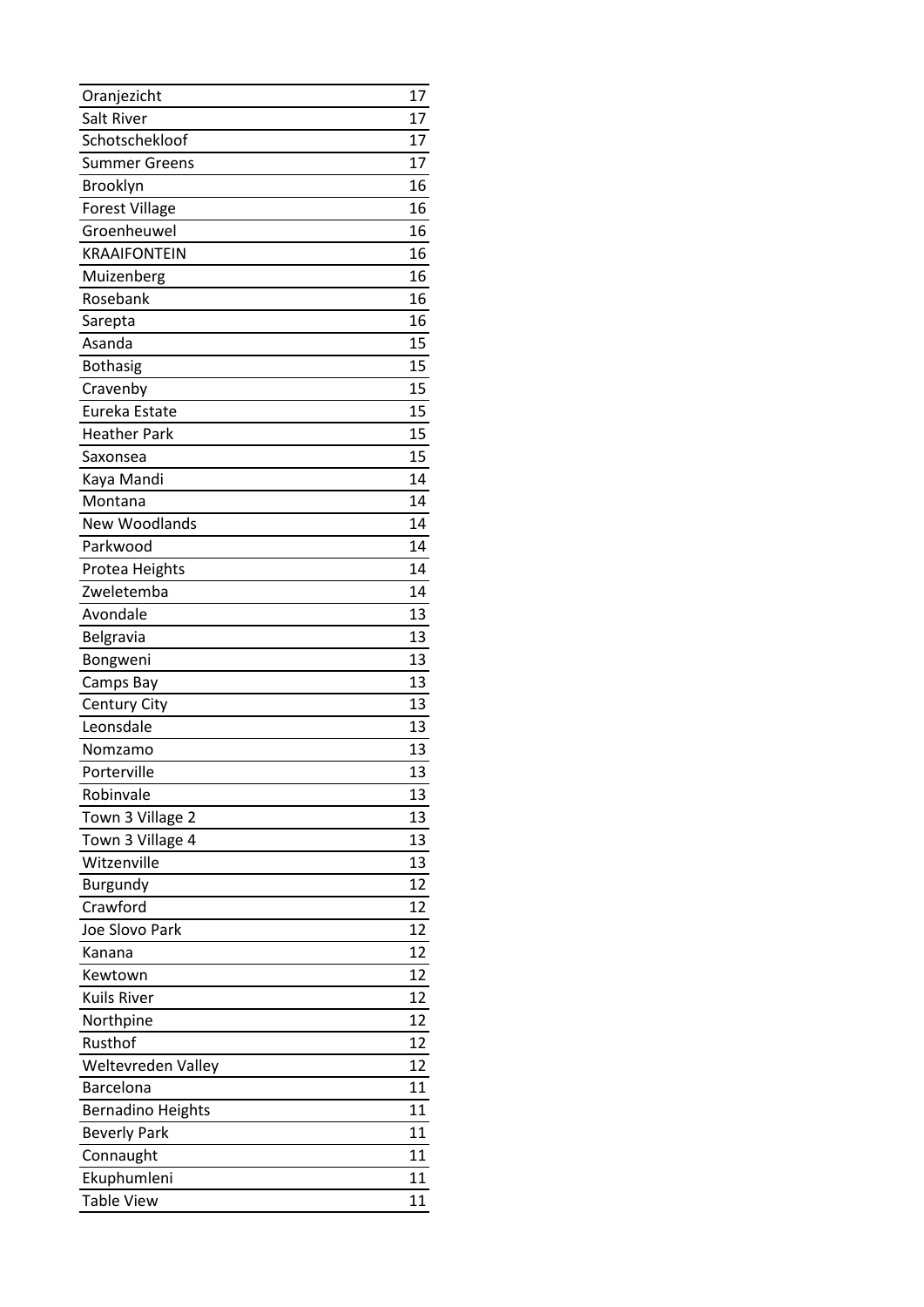| Oranjezicht              | 17 |
|--------------------------|----|
| Salt River               | 17 |
| Schotschekloof           | 17 |
| <b>Summer Greens</b>     | 17 |
| Brooklyn                 | 16 |
| <b>Forest Village</b>    | 16 |
| Groenheuwel              | 16 |
| <b>KRAAIFONTEIN</b>      | 16 |
| Muizenberg               | 16 |
| Rosebank                 | 16 |
| Sarepta                  | 16 |
| Asanda                   | 15 |
| <b>Bothasig</b>          | 15 |
| Cravenby                 | 15 |
| Eureka Estate            | 15 |
| <b>Heather Park</b>      | 15 |
| Saxonsea                 | 15 |
| Kaya Mandi               | 14 |
| Montana                  | 14 |
| <b>New Woodlands</b>     | 14 |
| Parkwood                 | 14 |
| Protea Heights           | 14 |
| Zweletemba               | 14 |
| Avondale                 | 13 |
| Belgravia                | 13 |
|                          |    |
| Bongweni                 | 13 |
| Camps Bay                | 13 |
| Century City             | 13 |
| Leonsdale                | 13 |
| Nomzamo                  | 13 |
| Porterville              | 13 |
| Robinvale                | 13 |
| Town 3 Village 2         | 13 |
| Town 3 Village 4         | 13 |
| Witzenville              | 13 |
| Burgundy                 | 12 |
| Crawford                 | 12 |
| Joe Slovo Park           | 12 |
| Kanana                   | 12 |
| Kewtown                  | 12 |
| <b>Kuils River</b>       | 12 |
| Northpine                | 12 |
| Rusthof                  | 12 |
| Weltevreden Valley       | 12 |
| Barcelona                | 11 |
| <b>Bernadino Heights</b> | 11 |
| <b>Beverly Park</b>      | 11 |
| Connaught                | 11 |
| Ekuphumleni              | 11 |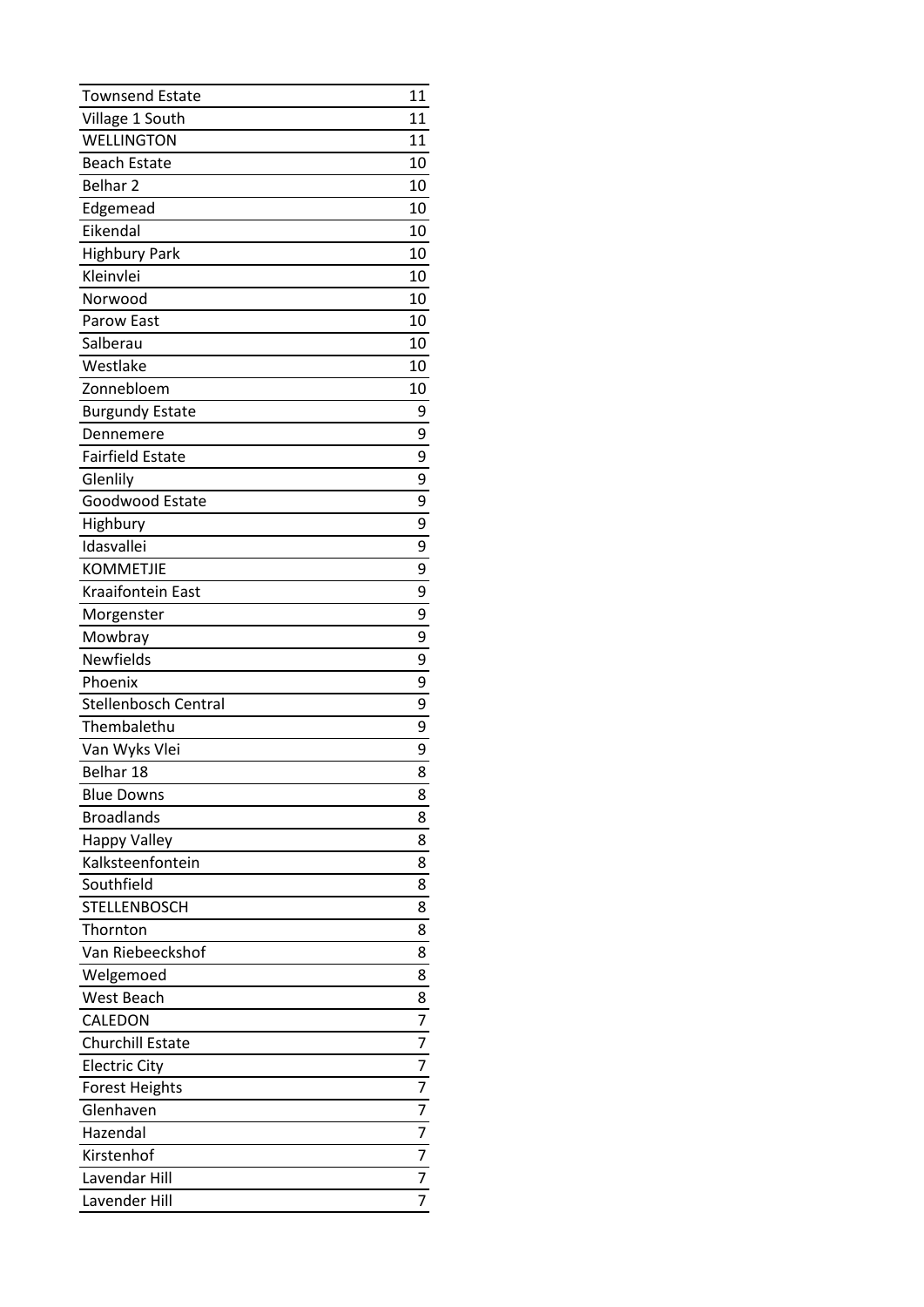| <b>Townsend Estate</b>      | 11             |
|-----------------------------|----------------|
| Village 1 South             | 11             |
| <b>WELLINGTON</b>           | 11             |
| <b>Beach Estate</b>         | 10             |
| Belhar <sub>2</sub>         | 10             |
| Edgemead                    | 10             |
| Eikendal                    | 10             |
| <b>Highbury Park</b>        | 10             |
| Kleinvlei                   | 10             |
| Norwood                     | 10             |
| Parow East                  | 10             |
| Salberau                    | 10             |
| Westlake                    | 10             |
| Zonnebloem                  | 10             |
| <b>Burgundy Estate</b>      | 9              |
| Dennemere                   | 9              |
| <b>Fairfield Estate</b>     | 9              |
| Glenlily                    | 9              |
| Goodwood Estate             | 9              |
| Highbury                    | 9              |
| Idasvallei                  | 9              |
| <b>KOMMETJIE</b>            | 9              |
| <b>Kraaifontein East</b>    | 9              |
| Morgenster                  | 9              |
| Mowbray                     | 9              |
| Newfields                   | 9              |
| Phoenix                     | 9              |
| <b>Stellenbosch Central</b> | 9              |
| Thembalethu                 | 9              |
| Van Wyks Vlei               | 9              |
| Belhar 18                   | 8              |
| <b>Blue Downs</b>           | 8              |
| <b>Broadlands</b>           | 8              |
| Happy Valley                | 8              |
| Kalksteenfontein            | 8              |
| Southfield                  | 8              |
| STELLENBOSCH                | 8              |
| Thornton                    | 8              |
| Van Riebeeckshof            | 8              |
| Welgemoed                   | 8              |
| West Beach                  | 8              |
| CALEDON                     | 7              |
| <b>Churchill Estate</b>     | 7              |
| <b>Electric City</b>        | 7              |
| <b>Forest Heights</b>       | 7              |
| Glenhaven                   | 7              |
| Hazendal                    | 7              |
|                             | 7              |
| Kirstenhof                  |                |
| Lavendar Hill               | $\overline{7}$ |
| Lavender Hill               | 7              |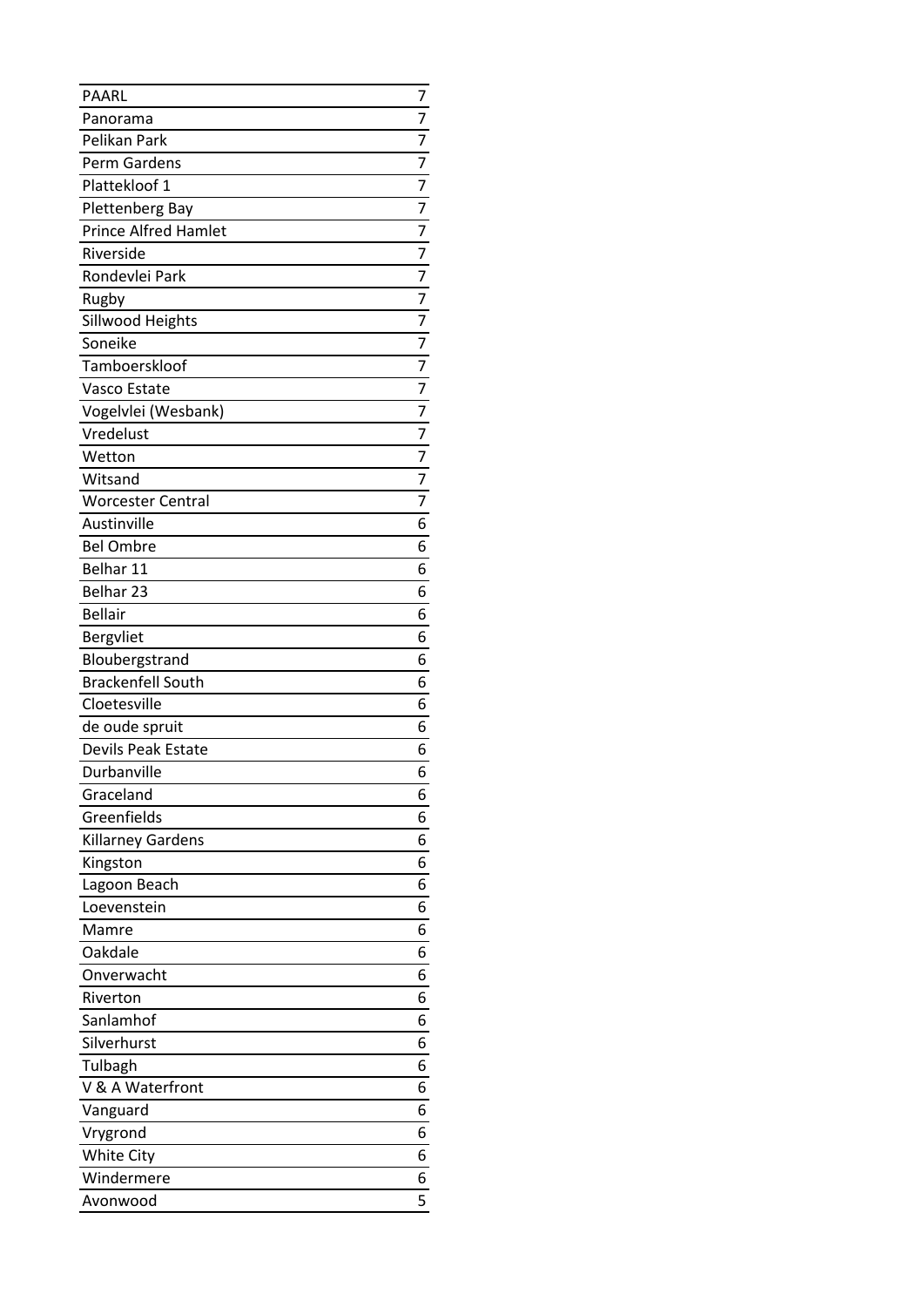| PAARL                       | 7              |
|-----------------------------|----------------|
| Panorama                    | 7              |
| Pelikan Park                | $\overline{7}$ |
| Perm Gardens                | 7              |
| Plattekloof 1               | 7              |
| Plettenberg Bay             | 7              |
| <b>Prince Alfred Hamlet</b> | 7              |
| Riverside                   | $\overline{7}$ |
| Rondevlei Park              | $\overline{7}$ |
| Rugby                       | $\overline{7}$ |
| Sillwood Heights            | $\overline{7}$ |
| Soneike                     | $\overline{7}$ |
| Tamboerskloof               | 7              |
| Vasco Estate                | 7              |
| Vogelvlei (Wesbank)         | $\overline{7}$ |
| Vredelust                   | $\overline{7}$ |
| Wetton                      | $\overline{7}$ |
| Witsand                     | $\overline{7}$ |
| <b>Worcester Central</b>    | $\overline{7}$ |
| Austinville                 | 6              |
| <b>Bel Ombre</b>            | 6              |
| Belhar 11                   | 6              |
| Belhar 23                   | 6              |
| <b>Bellair</b>              | 6              |
| Bergvliet                   | 6              |
| Bloubergstrand              | 6              |
| <b>Brackenfell South</b>    | 6              |
| Cloetesville                | 6              |
| de oude spruit              | 6              |
| Devils Peak Estate          | 6              |
| Durbanville                 | 6              |
| Graceland                   | 6              |
| Greenfields                 | 6              |
| Killarney Gardens           | 6              |
| Kingston                    | 6              |
| Lagoon Beach                | 6              |
| Loevenstein                 | 6              |
| Mamre                       | 6              |
| Oakdale                     | 6              |
| Onverwacht                  | 6              |
| Riverton                    | 6              |
| Sanlamhof                   | 6              |
| Silverhurst                 | 6              |
| Tulbagh                     | 6              |
| V & A Waterfront            | 6              |
| Vanguard                    | 6              |
| Vrygrond                    | 6              |
| <b>White City</b>           | 6              |
| Windermere                  | 6              |
| Avonwood                    | 5              |
|                             |                |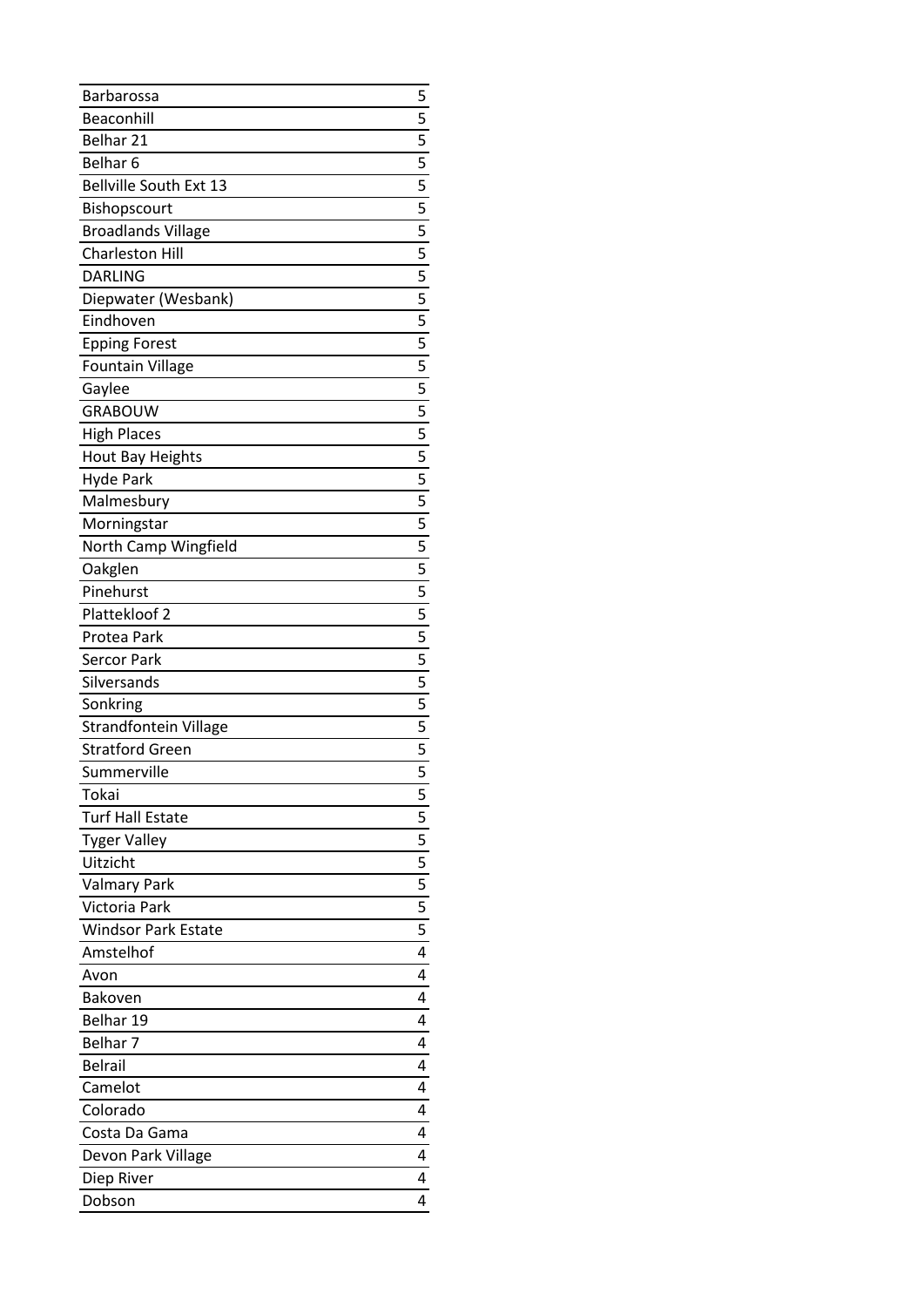| Barbarossa                   | 5                                                                |
|------------------------------|------------------------------------------------------------------|
| Beaconhill                   | 5                                                                |
| Belhar 21                    | $\frac{1}{5}$                                                    |
| Belhar <sub>6</sub>          |                                                                  |
| Bellville South Ext 13       |                                                                  |
| Bishopscourt                 | $\frac{5}{5}$                                                    |
| <b>Broadlands Village</b>    |                                                                  |
| <b>Charleston Hill</b>       |                                                                  |
| <b>DARLING</b>               |                                                                  |
| Diepwater (Wesbank)          | $\frac{15}{5}$ 5 $\frac{15}{5}$ 5 $\frac{15}{5}$ 5 $\frac{1}{5}$ |
| Eindhoven                    |                                                                  |
| <b>Epping Forest</b>         |                                                                  |
| <b>Fountain Village</b>      |                                                                  |
| Gaylee                       |                                                                  |
| <b>GRABOUW</b>               |                                                                  |
| <b>High Places</b>           |                                                                  |
| <b>Hout Bay Heights</b>      | $\frac{15}{5}$ 5 $\frac{15}{5}$ 5 $\frac{1}{5}$                  |
| <b>Hyde Park</b>             |                                                                  |
| Malmesbury                   |                                                                  |
| Morningstar                  |                                                                  |
| North Camp Wingfield         | $\frac{15}{5}$ $\frac{5}{5}$ $\frac{5}{5}$ $\frac{1}{5}$         |
| Oakglen                      |                                                                  |
| Pinehurst                    |                                                                  |
| Plattekloof 2                | $\overline{5}$                                                   |
| Protea Park                  |                                                                  |
| Sercor Park                  | $\frac{15}{5}$ 5 $\frac{15}{5}$ 5 $\frac{1}{5}$ 5 $\frac{1}{5}$  |
| Silversands                  |                                                                  |
| Sonkring                     |                                                                  |
| <b>Strandfontein Village</b> |                                                                  |
| <b>Stratford Green</b>       |                                                                  |
| Summerville                  | $\overline{5}$                                                   |
| Tokai                        | 5                                                                |
|                              |                                                                  |
|                              |                                                                  |
| <b>Turf Hall Estate</b>      |                                                                  |
| <b>Tyger Valley</b>          |                                                                  |
| Uitzicht                     |                                                                  |
| <b>Valmary Park</b>          |                                                                  |
| Victoria Park                | $\frac{5}{5} - \frac{5}{5} - \frac{5}{5}$                        |
| <b>Windsor Park Estate</b>   | $\overline{5}$                                                   |
| Amstelhof<br>Avon            | 4<br>4                                                           |
|                              | 4                                                                |
| <b>Bakoven</b>               | 4                                                                |
| Belhar 19                    |                                                                  |
| Belhar 7                     | 4                                                                |
| <b>Belrail</b>               | 4                                                                |
| Camelot                      | 4                                                                |
| Colorado                     | 4                                                                |
| Costa Da Gama                | 4                                                                |
| Devon Park Village           | 4                                                                |
| Diep River<br>Dobson         | 4<br>4                                                           |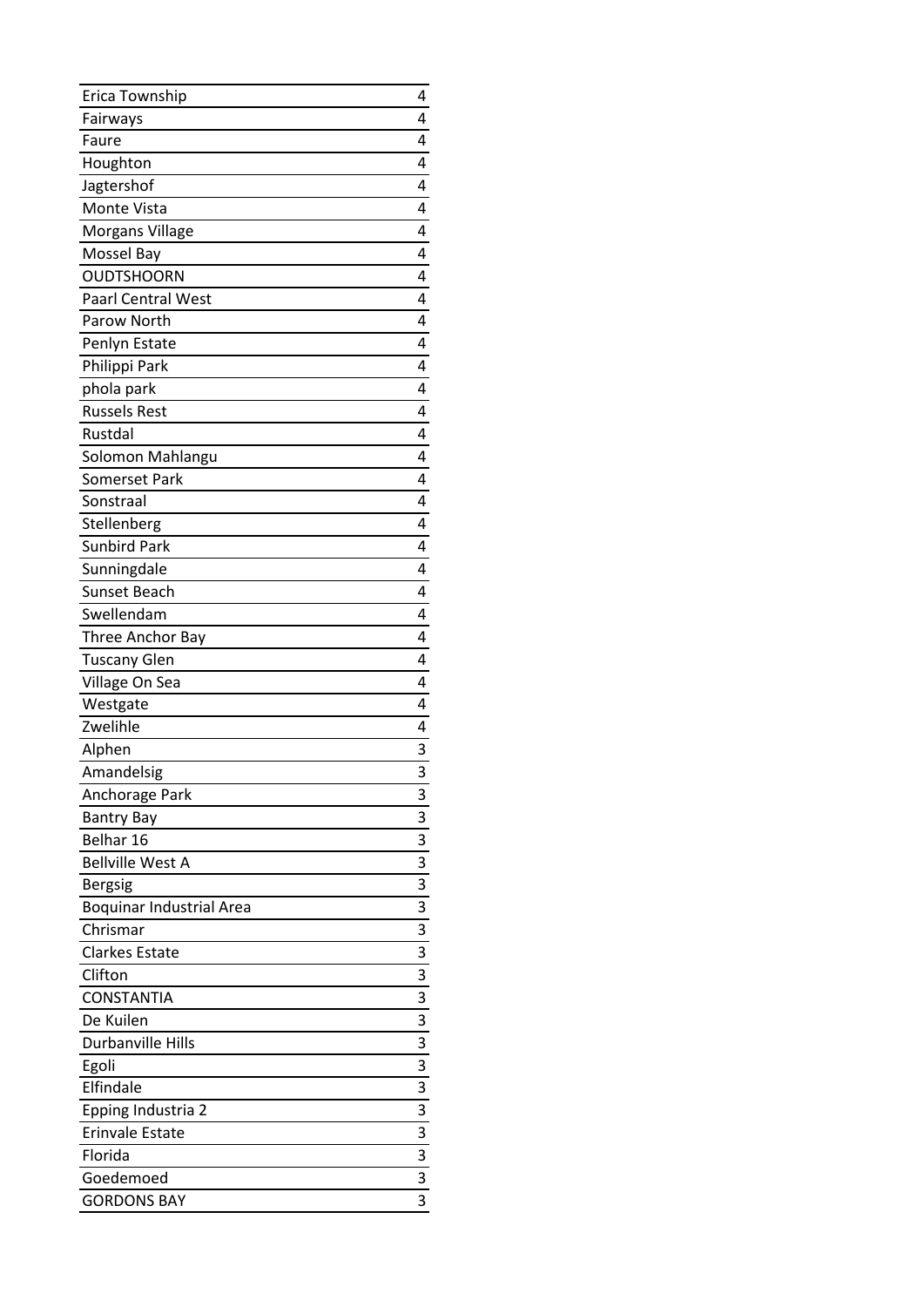| Erica Township                  | 4 |
|---------------------------------|---|
| Fairways                        | 4 |
| Faure                           | 4 |
| Houghton                        | 4 |
| Jagtershof                      | 4 |
| Monte Vista                     | 4 |
| <b>Morgans Village</b>          | 4 |
| Mossel Bay                      | 4 |
| <b>OUDTSHOORN</b>               | 4 |
| <b>Paarl Central West</b>       | 4 |
| Parow North                     | 4 |
| Penlyn Estate                   | 4 |
| Philippi Park                   | 4 |
| phola park                      | 4 |
| <b>Russels Rest</b>             | 4 |
| Rustdal                         | 4 |
| Solomon Mahlangu                | 4 |
| Somerset Park                   | 4 |
| Sonstraal                       | 4 |
| Stellenberg                     | 4 |
| <b>Sunbird Park</b>             | 4 |
| Sunningdale                     | 4 |
| <b>Sunset Beach</b>             | 4 |
| Swellendam                      | 4 |
| Three Anchor Bay                | 4 |
| <b>Tuscany Glen</b>             | 4 |
| Village On Sea                  | 4 |
| Westgate                        | 4 |
| Zwelihle                        | 4 |
| Alphen                          | 3 |
| Amandelsig                      | 3 |
| Anchorage Park                  | 3 |
| <b>Bantry Bay</b>               | 3 |
| Belhar 16                       | 3 |
| <b>Bellville West A</b>         | 3 |
| <b>Bergsig</b>                  | 3 |
| <b>Boquinar Industrial Area</b> | 3 |
| Chrismar                        | 3 |
| <b>Clarkes Estate</b>           | 3 |
| Clifton                         | 3 |
| <b>CONSTANTIA</b>               | 3 |
| De Kuilen                       | 3 |
| Durbanville Hills               | 3 |
| Egoli                           | 3 |
| Elfindale                       | 3 |
| Epping Industria 2              | 3 |
| <b>Erinvale Estate</b>          | 3 |
| Florida                         | 3 |
| Goedemoed                       | 3 |
| <b>GORDONS BAY</b>              | 3 |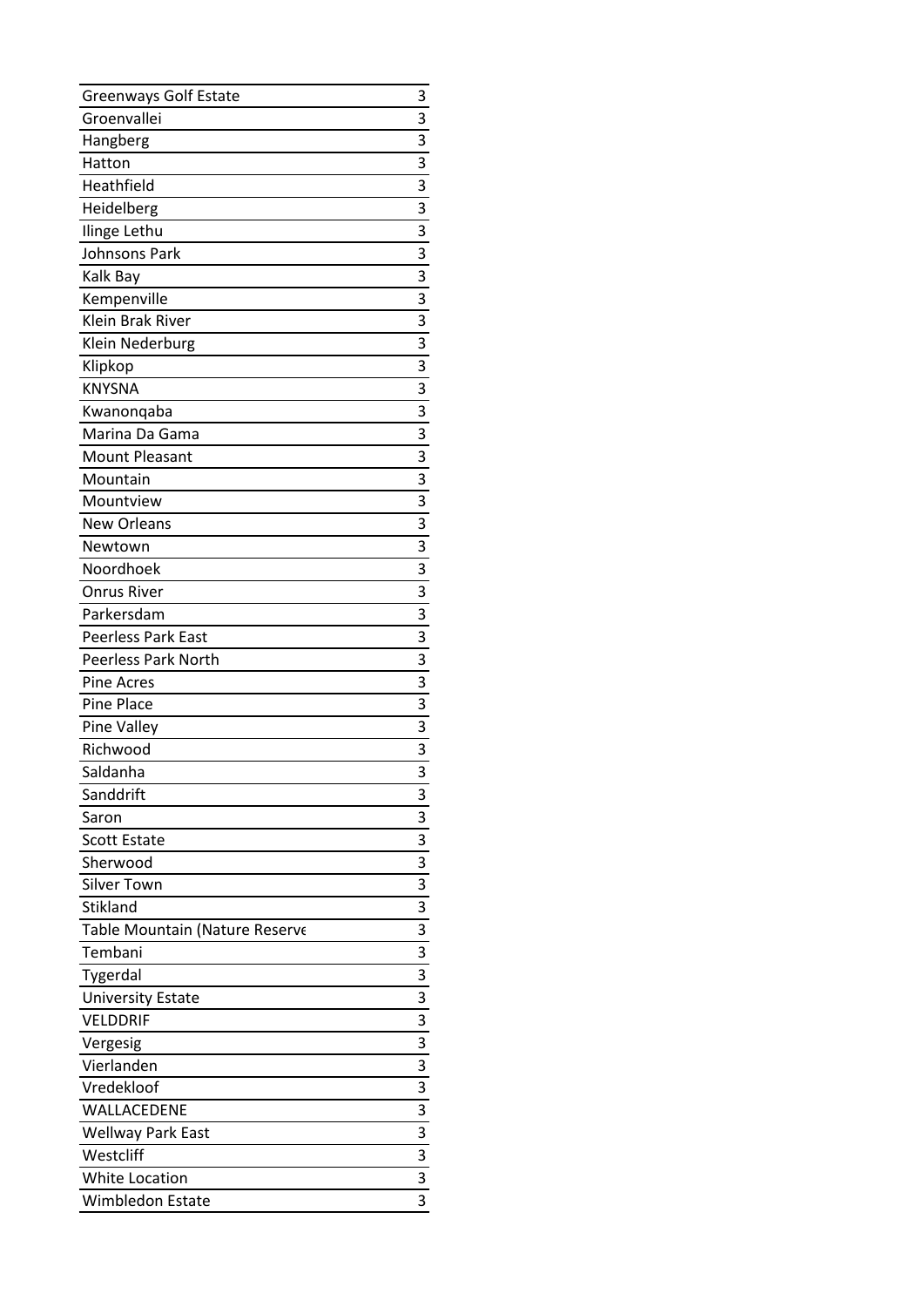| <b>Greenways Golf Estate</b>   | 3                         |
|--------------------------------|---------------------------|
| Groenvallei                    | 3                         |
| Hangberg                       | 3                         |
| Hatton                         | $\overline{3}$            |
| Heathfield                     | 3                         |
| Heidelberg                     | 3                         |
| Ilinge Lethu                   | $\overline{3}$            |
| Johnsons Park                  | 3                         |
| Kalk Bay                       | 3                         |
| Kempenville                    | $\overline{\overline{3}}$ |
| Klein Brak River               | 3                         |
| Klein Nederburg                | 3                         |
| Klipkop                        | $\overline{3}$            |
| <b>KNYSNA</b>                  | 3                         |
| Kwanonqaba                     | 3                         |
| Marina Da Gama                 | 3                         |
| <b>Mount Pleasant</b>          | $\overline{\overline{3}}$ |
| Mountain                       | 3                         |
| Mountview                      | 3                         |
| <b>New Orleans</b>             | $\overline{3}$            |
| Newtown                        | 3                         |
| Noordhoek                      | $\overline{3}$            |
| <b>Onrus River</b>             | $\overline{3}$            |
| Parkersdam                     | 3                         |
| <b>Peerless Park East</b>      | 3                         |
| <b>Peerless Park North</b>     | $\overline{3}$            |
| <b>Pine Acres</b>              | 3                         |
| <b>Pine Place</b>              | 3                         |
| Pine Valley                    | $\overline{\mathbf{3}}$   |
| Richwood                       | 3                         |
| Saldanha                       | 3                         |
| Sanddrift                      | 3                         |
| Saron                          | 3                         |
| <b>Scott Estate</b>            | 3                         |
| Sherwood                       | 3                         |
| <b>Silver Town</b>             | $\overline{\mathbf{3}}$   |
| Stikland                       | 3                         |
| Table Mountain (Nature Reserve | 3                         |
| Tembani                        | $\overline{\overline{3}}$ |
| Tygerdal                       | $\overline{\mathbf{3}}$   |
| <b>University Estate</b>       | 3                         |
| <b>VELDDRIF</b>                | 3                         |
| Vergesig                       | 3                         |
| Vierlanden                     | 3                         |
| Vredekloof                     | 3                         |
| WALLACEDENE                    | 3                         |
| <b>Wellway Park East</b>       | 3                         |
| Westcliff                      | $\overline{3}$            |
| White Location                 | 3                         |
| Wimbledon Estate               | 3                         |
|                                |                           |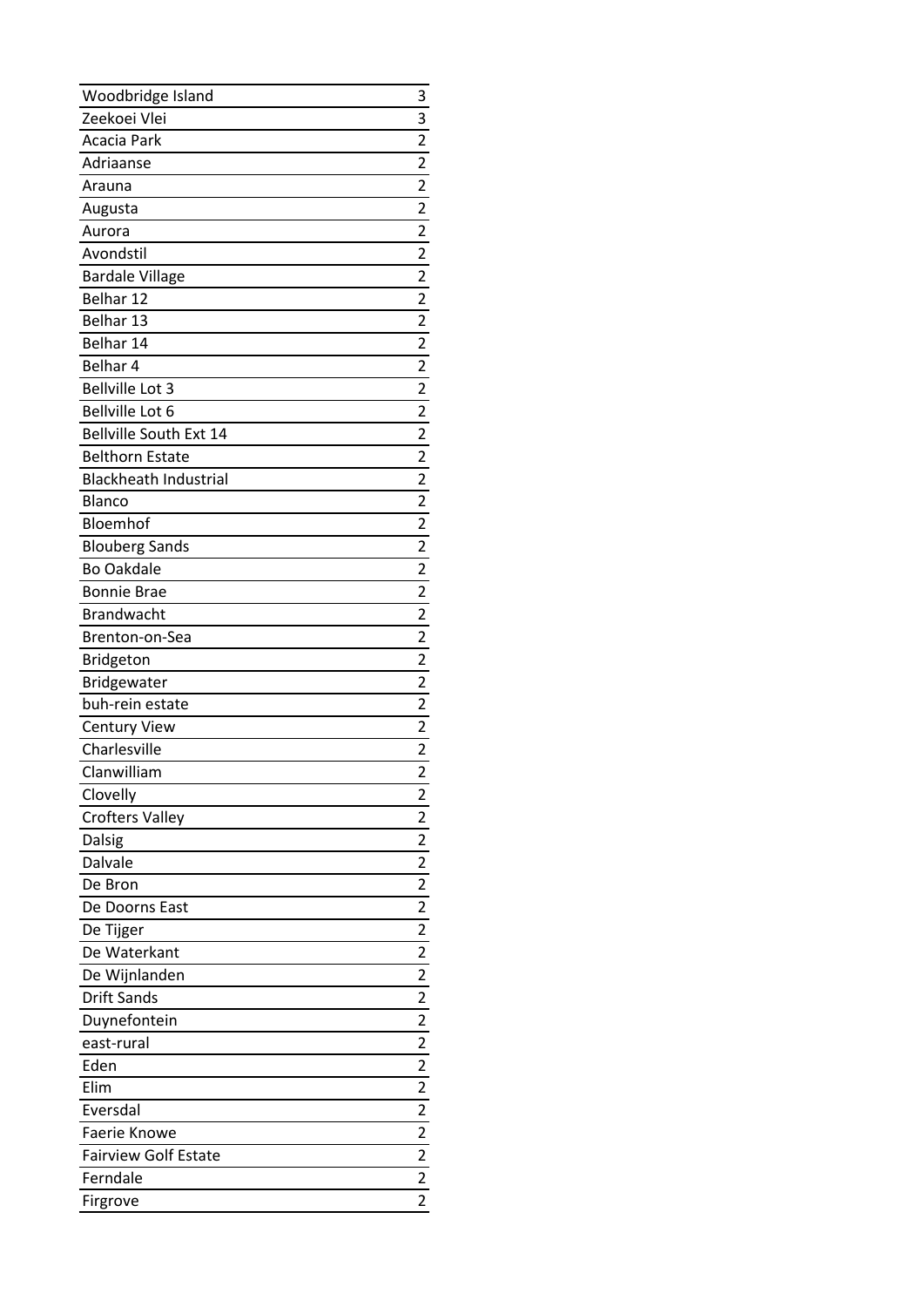| Woodbridge Island             | 3                                |
|-------------------------------|----------------------------------|
| Zeekoei Vlei                  | 3                                |
| Acacia Park                   | $\overline{2}$                   |
| Adriaanse                     | $\overline{2}$                   |
| Arauna                        | $\overline{2}$                   |
| Augusta                       | $\overline{2}$                   |
| Aurora                        | 2                                |
| Avondstil                     | $\overline{\mathbf{c}}$          |
| <b>Bardale Village</b>        | $\overline{2}$                   |
| Belhar 12                     | $\overline{2}$                   |
| Belhar 13                     | $\overline{c}$                   |
| Belhar 14                     | $\overline{c}$                   |
| Belhar 4                      | $\overline{\mathbf{c}}$          |
| <b>Bellville Lot 3</b>        | 2                                |
| Bellville Lot 6               | $\overline{\mathbf{c}}$          |
| <b>Bellville South Ext 14</b> | $\overline{\mathbf{c}}$          |
| <b>Belthorn Estate</b>        | $\overline{2}$                   |
| <b>Blackheath Industrial</b>  | $\overline{2}$                   |
| Blanco                        | $\overline{c}$                   |
| Bloemhof                      | $\overline{\mathbf{c}}$          |
| <b>Blouberg Sands</b>         | $\overline{\mathbf{c}}$          |
| <b>Bo Oakdale</b>             | $\overline{2}$                   |
| <b>Bonnie Brae</b>            | $\overline{2}$                   |
| <b>Brandwacht</b>             | $\overline{c}$                   |
| Brenton-on-Sea                | $\overline{\mathbf{c}}$          |
|                               |                                  |
| <b>Bridgeton</b>              | $\overline{\mathbf{c}}$          |
| Bridgewater                   | $\overline{\mathbf{c}}$          |
| buh-rein estate               | $\overline{2}$                   |
| <b>Century View</b>           | $\overline{2}$                   |
| Charlesville                  | $\overline{c}$                   |
| Clanwilliam                   | 2                                |
| Clovelly                      | 2                                |
| <b>Crofters Valley</b>        | 2                                |
| Dalsig                        | $\overline{\mathbf{c}}$          |
| Dalvale                       | $\overline{2}$                   |
| De Bron                       | $\overline{\mathbf{c}}$          |
| De Doorns East                | $\overline{2}$                   |
| De Tijger                     | $\overline{\mathbf{c}}$          |
| De Waterkant                  | $\overline{\mathbf{c}}$          |
| De Wijnlanden                 | $\overline{2}$                   |
| <b>Drift Sands</b>            | $\overline{2}$                   |
| Duynefontein                  | $\overline{2}$                   |
| east-rural                    | $\overline{2}$                   |
| Eden                          | $\overline{c}$                   |
| Elim                          | $\overline{\mathbf{c}}$          |
| Eversdal                      | $\overline{\mathbf{c}}$          |
| Faerie Knowe                  |                                  |
| <b>Fairview Golf Estate</b>   | $\frac{1}{2}$<br>$\overline{2}$  |
| Ferndale                      | $\overline{2}$<br>$\overline{c}$ |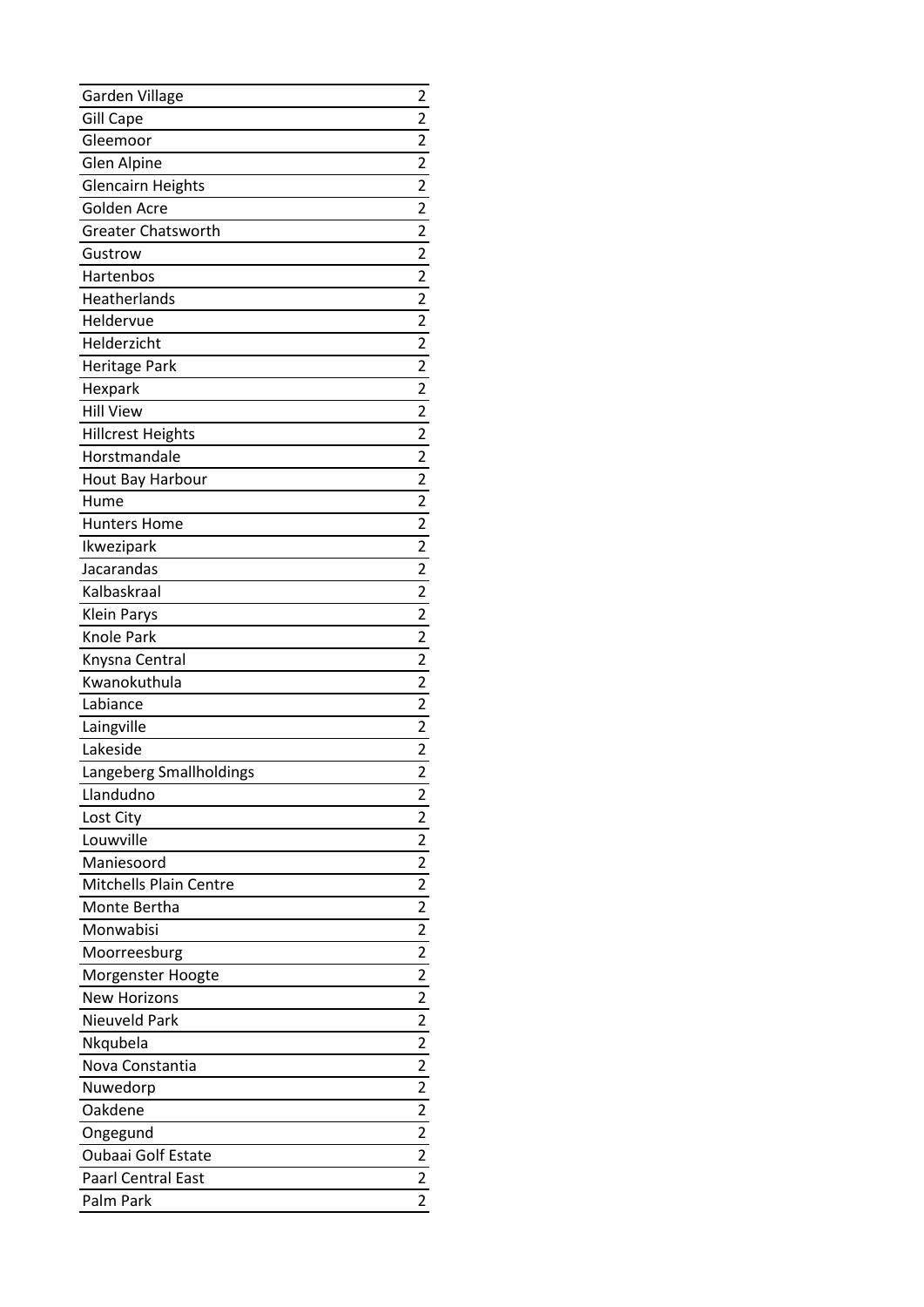| Garden Village               | 2                                |
|------------------------------|----------------------------------|
| <b>Gill Cape</b><br>Gleemoor | 2<br>$\overline{2}$              |
|                              | $\overline{2}$                   |
| <b>Glen Alpine</b>           |                                  |
| <b>Glencairn Heights</b>     | $\overline{c}$<br>$\overline{2}$ |
| Golden Acre                  |                                  |
| <b>Greater Chatsworth</b>    | 2                                |
| Gustrow                      | $\overline{\mathbf{c}}$          |
| Hartenbos                    | $\overline{2}$                   |
| Heatherlands                 | $\overline{2}$                   |
| Heldervue                    | $\overline{2}$                   |
| Helderzicht                  | $\overline{c}$                   |
| Heritage Park                | $\overline{c}$                   |
| Hexpark                      | 2                                |
| <b>Hill View</b>             | $\overline{\mathbf{c}}$          |
| <b>Hillcrest Heights</b>     | $\overline{c}$                   |
| Horstmandale                 | $\overline{\mathbf{c}}$          |
| Hout Bay Harbour             | $\overline{c}$                   |
| Hume                         | $\overline{c}$                   |
| <b>Hunters Home</b>          | $\overline{\mathbf{c}}$          |
| Ikwezipark                   | $\overline{c}$                   |
| Jacarandas                   | $\overline{2}$                   |
| Kalbaskraal                  | $\overline{2}$                   |
| <b>Klein Parys</b>           | $\overline{2}$                   |
| Knole Park                   | $\overline{c}$                   |
| Knysna Central               | 2                                |
| Kwanokuthula                 | $\overline{\mathbf{c}}$          |
| Labiance                     | $\overline{2}$                   |
| Laingville                   | $\overline{2}$                   |
| Lakeside                     | $\overline{2}$                   |
| Langeberg Smallholdings      | 2                                |
| Llandudno                    | 2                                |
| Lost City                    | 2                                |
| Louwville                    | $\overline{\mathbf{c}}$          |
| Maniesoord                   | $\overline{2}$                   |
| Mitchells Plain Centre       | $\overline{\mathbf{c}}$          |
| Monte Bertha                 | $\overline{2}$                   |
| Monwabisi                    | $\overline{\mathbf{c}}$          |
| Moorreesburg                 | $\overline{\mathbf{c}}$          |
| Morgenster Hoogte            | $\overline{2}$                   |
| <b>New Horizons</b>          | $\overline{2}$                   |
| Nieuveld Park                | $\overline{\mathbf{c}}$          |
| Nkqubela                     | $\overline{\mathbf{c}}$          |
| Nova Constantia              | $\overline{\mathbf{c}}$          |
| Nuwedorp                     | $\overline{\mathbf{c}}$          |
| Oakdene                      | $\overline{\mathbf{c}}$          |
| Ongegund                     | $\overline{2}$                   |
| Oubaai Golf Estate           | $\overline{2}$                   |
| <b>Paarl Central East</b>    | $\overline{2}$                   |
| Palm Park                    | $\overline{c}$                   |
|                              |                                  |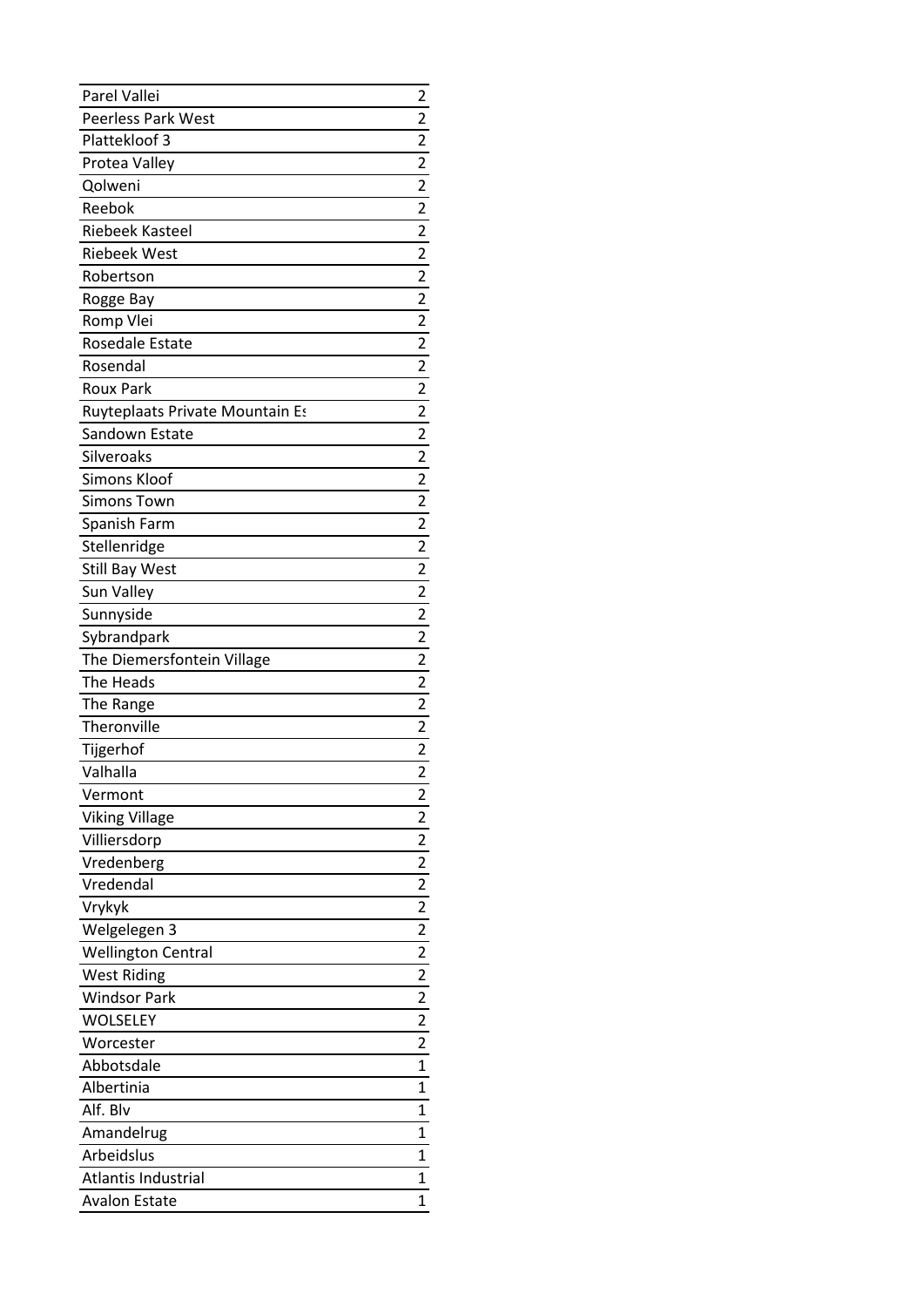| Parel Vallei                                | 2                       |
|---------------------------------------------|-------------------------|
| <b>Peerless Park West</b>                   | 2                       |
| Plattekloof 3                               | $\overline{\mathbf{c}}$ |
| Protea Valley                               | 2                       |
| Qolweni                                     | $\overline{2}$          |
| Reebok                                      | $\overline{\mathbf{c}}$ |
| <b>Riebeek Kasteel</b>                      | $\overline{2}$          |
| <b>Riebeek West</b>                         | $\overline{2}$          |
| Robertson                                   | $\overline{\mathbf{c}}$ |
| Rogge Bay                                   | $\overline{2}$          |
| Romp Vlei                                   | $\overline{\mathbf{c}}$ |
| Rosedale Estate                             | $\overline{2}$          |
| Rosendal                                    | $\overline{2}$          |
| <b>Roux Park</b>                            | $\overline{\mathbf{c}}$ |
| Ruyteplaats Private Mountain Es             | 2                       |
| Sandown Estate                              | $\overline{\mathbf{c}}$ |
| Silveroaks                                  | $\overline{2}$          |
| Simons Kloof                                | $\overline{2}$          |
| <b>Simons Town</b>                          | $\overline{2}$          |
| Spanish Farm                                | $\overline{c}$          |
| Stellenridge                                | 2                       |
| <b>Still Bay West</b>                       | $\overline{2}$          |
| Sun Valley                                  | 2                       |
| Sunnyside                                   | $\overline{2}$          |
| Sybrandpark                                 | $\overline{\mathbf{c}}$ |
|                                             |                         |
|                                             | $\overline{2}$          |
| The Diemersfontein Village<br>The Heads     | $\overline{2}$          |
|                                             |                         |
| The Range<br>Theronville                    | $\overline{2}$          |
|                                             | $\overline{\mathbf{c}}$ |
| Tijgerhof                                   | $\overline{2}$          |
| Valhalla                                    | $\overline{2}$          |
| Vermont                                     | 2                       |
| <b>Viking Village</b>                       | 2                       |
| Villiersdorp                                | $\overline{\mathbf{c}}$ |
| Vredenberg                                  | $\overline{\mathbf{c}}$ |
| Vredendal                                   | $\overline{\mathbf{c}}$ |
| Vrykyk                                      | $\overline{\mathbf{c}}$ |
| Welgelegen 3                                | $\overline{\mathbf{c}}$ |
| <b>Wellington Central</b>                   | $\overline{\mathbf{c}}$ |
| <b>West Riding</b>                          | 2                       |
| <b>Windsor Park</b>                         | $\overline{\mathbf{c}}$ |
| WOLSELEY                                    | $\overline{\mathbf{c}}$ |
| Worcester                                   | $\overline{2}$          |
| Abbotsdale                                  | $\mathbf 1$             |
| Albertinia                                  | 1                       |
| Alf. Blv                                    | 1                       |
| Amandelrug                                  | 1                       |
| Arbeidslus                                  | 1                       |
| Atlantis Industrial<br><b>Avalon Estate</b> | 1<br>1                  |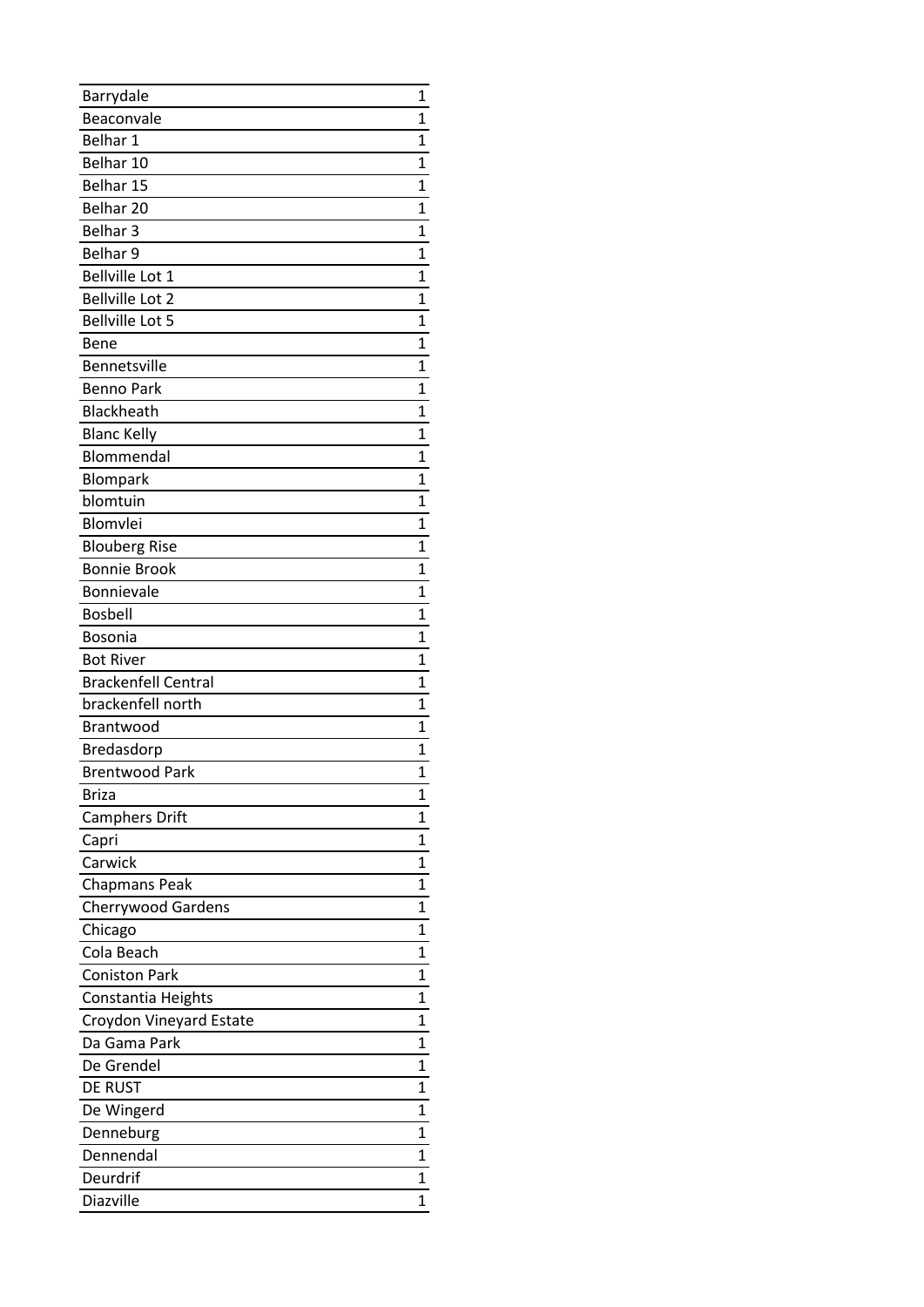| Barrydale                  | 1            |
|----------------------------|--------------|
| Beaconvale                 | 1            |
| Belhar 1                   | 1            |
| Belhar 10                  | 1            |
| Belhar 15                  | 1            |
| Belhar 20                  | 1            |
| Belhar <sub>3</sub>        | 1            |
| Belhar 9                   | 1            |
| Bellville Lot 1            | 1            |
| <b>Bellville Lot 2</b>     | $\mathbf{1}$ |
| <b>Bellville Lot 5</b>     | 1            |
| Bene                       | 1            |
| Bennetsville               | 1            |
| <b>Benno Park</b>          | 1            |
| Blackheath                 | 1            |
| <b>Blanc Kelly</b>         | 1            |
| Blommendal                 | 1            |
| <b>Blompark</b>            | 1            |
| blomtuin                   | 1            |
| Blomvlei                   | 1            |
| <b>Blouberg Rise</b>       | 1            |
| <b>Bonnie Brook</b>        | 1            |
| Bonnievale                 | 1            |
| <b>Bosbell</b>             | 1            |
| Bosonia                    | 1            |
| <b>Bot River</b>           | 1            |
| <b>Brackenfell Central</b> | 1            |
| brackenfell north          | 1            |
| <b>Brantwood</b>           | 1            |
| Bredasdorp                 | 1            |
| <b>Brentwood Park</b>      | $\mathbf{1}$ |
| <b>Briza</b>               | 1            |
| <b>Camphers Drift</b>      | 1            |
| Capri                      | 1            |
| Carwick                    | 1            |
| <b>Chapmans Peak</b>       | 1            |
| <b>Cherrywood Gardens</b>  | 1            |
| Chicago                    | 1            |
| Cola Beach                 | 1            |
| <b>Coniston Park</b>       | 1            |
| Constantia Heights         | 1            |
| Croydon Vineyard Estate    | 1            |
| Da Gama Park               | 1            |
| De Grendel                 | 1            |
| DE RUST                    | 1            |
| De Wingerd                 | 1            |
| Denneburg                  | 1            |
| Dennendal                  | 1            |
| Deurdrif                   | 1            |
|                            |              |
| Diazville                  | 1            |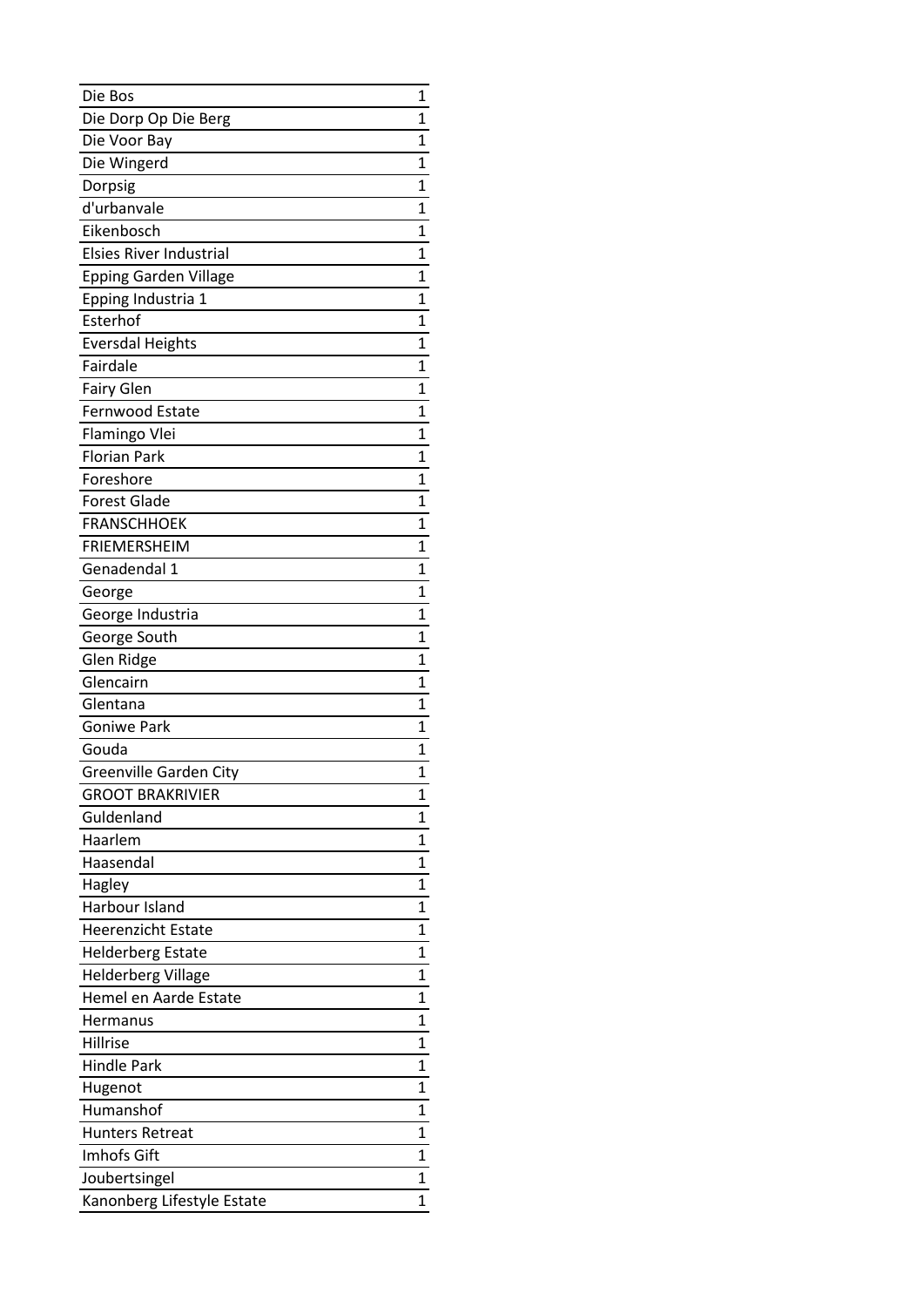| Die Bos                        | 1           |
|--------------------------------|-------------|
| Die Dorp Op Die Berg           | 1           |
| Die Voor Bay                   | 1           |
| Die Wingerd                    | 1           |
| Dorpsig                        | 1           |
| d'urbanvale                    | 1           |
| Eikenbosch                     | 1           |
| <b>Elsies River Industrial</b> | 1           |
| <b>Epping Garden Village</b>   | 1           |
| Epping Industria 1             | 1           |
| Esterhof                       | 1           |
| <b>Eversdal Heights</b>        | 1           |
| Fairdale                       | 1           |
| <b>Fairy Glen</b>              | 1           |
| Fernwood Estate                | 1           |
| Flamingo Vlei                  | 1           |
| <b>Florian Park</b>            | 1           |
| Foreshore                      | 1           |
| <b>Forest Glade</b>            | 1           |
| <b>FRANSCHHOEK</b>             | 1           |
| <b>FRIEMERSHEIM</b>            | $\mathbf 1$ |
| Genadendal 1                   | 1           |
| George                         | 1           |
| George Industria               | 1           |
| George South                   | 1           |
| Glen Ridge                     | 1           |
| Glencairn                      | 1           |
| Glentana                       | 1           |
| <b>Goniwe Park</b>             | 1           |
| Gouda                          | 1           |
| Greenville Garden City         | 1           |
| <b>GROOT BRAKRIVIER</b>        | 1           |
| Guldenland                     | 1           |
| Haarlem                        | 1           |
| Haasendal                      | 1           |
| Hagley                         | 1           |
| Harbour Island                 | 1           |
| <b>Heerenzicht Estate</b>      | 1           |
| <b>Helderberg Estate</b>       | 1           |
| <b>Helderberg Village</b>      | 1           |
| Hemel en Aarde Estate          | 1           |
| Hermanus                       | 1           |
| Hillrise                       | 1           |
| <b>Hindle Park</b>             | 1           |
| Hugenot                        | 1           |
| Humanshof                      | 1           |
| <b>Hunters Retreat</b>         | 1           |
| Imhofs Gift                    | 1           |
| Joubertsingel                  | 1           |
| Kanonberg Lifestyle Estate     | 1           |
|                                |             |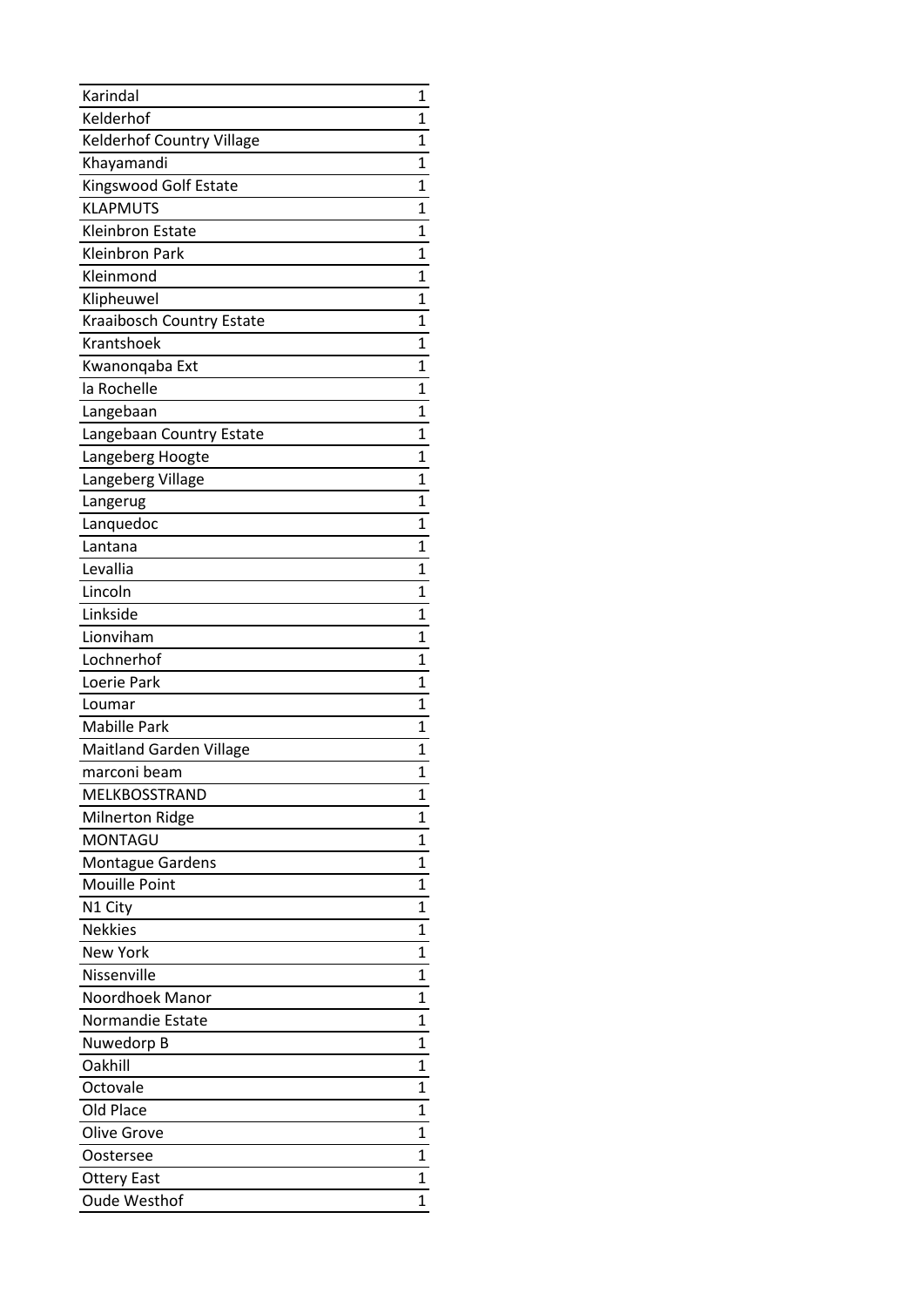| Karindal                         | 1 |
|----------------------------------|---|
| Kelderhof                        | 1 |
| <b>Kelderhof Country Village</b> | 1 |
| Khayamandi                       | 1 |
| Kingswood Golf Estate            | 1 |
| <b>KLAPMUTS</b>                  | 1 |
| Kleinbron Estate                 | 1 |
| Kleinbron Park                   | 1 |
| Kleinmond                        | 1 |
| Klipheuwel                       | 1 |
| Kraaibosch Country Estate        | 1 |
| Krantshoek                       | 1 |
| Kwanonqaba Ext                   | 1 |
| la Rochelle                      | 1 |
| Langebaan                        | 1 |
| Langebaan Country Estate         | 1 |
| Langeberg Hoogte                 | 1 |
| Langeberg Village                | 1 |
| Langerug                         | 1 |
| Lanquedoc                        | 1 |
| Lantana                          | 1 |
| Levallia                         | 1 |
| Lincoln                          | 1 |
| Linkside                         | 1 |
| Lionviham                        | 1 |
| Lochnerhof                       | 1 |
| Loerie Park                      | 1 |
| Loumar                           | 1 |
| <b>Mabille Park</b>              | 1 |
| <b>Maitland Garden Village</b>   | 1 |
| marconi beam                     | 1 |
| MELKBOSSTRAND                    | 1 |
| <b>Milnerton Ridge</b>           | 1 |
| <b>MONTAGU</b>                   | 1 |
| <b>Montague Gardens</b>          | 1 |
| <b>Mouille Point</b>             | 1 |
| N1 City                          | 1 |
| <b>Nekkies</b>                   | 1 |
| <b>New York</b>                  | 1 |
| Nissenville                      | 1 |
| Noordhoek Manor                  | 1 |
| <b>Normandie Estate</b>          | 1 |
| Nuwedorp B                       | 1 |
| Oakhill                          | 1 |
| Octovale                         | 1 |
| Old Place                        | 1 |
| Olive Grove                      | 1 |
| Oostersee                        | 1 |
| <b>Ottery East</b>               | 1 |
|                                  |   |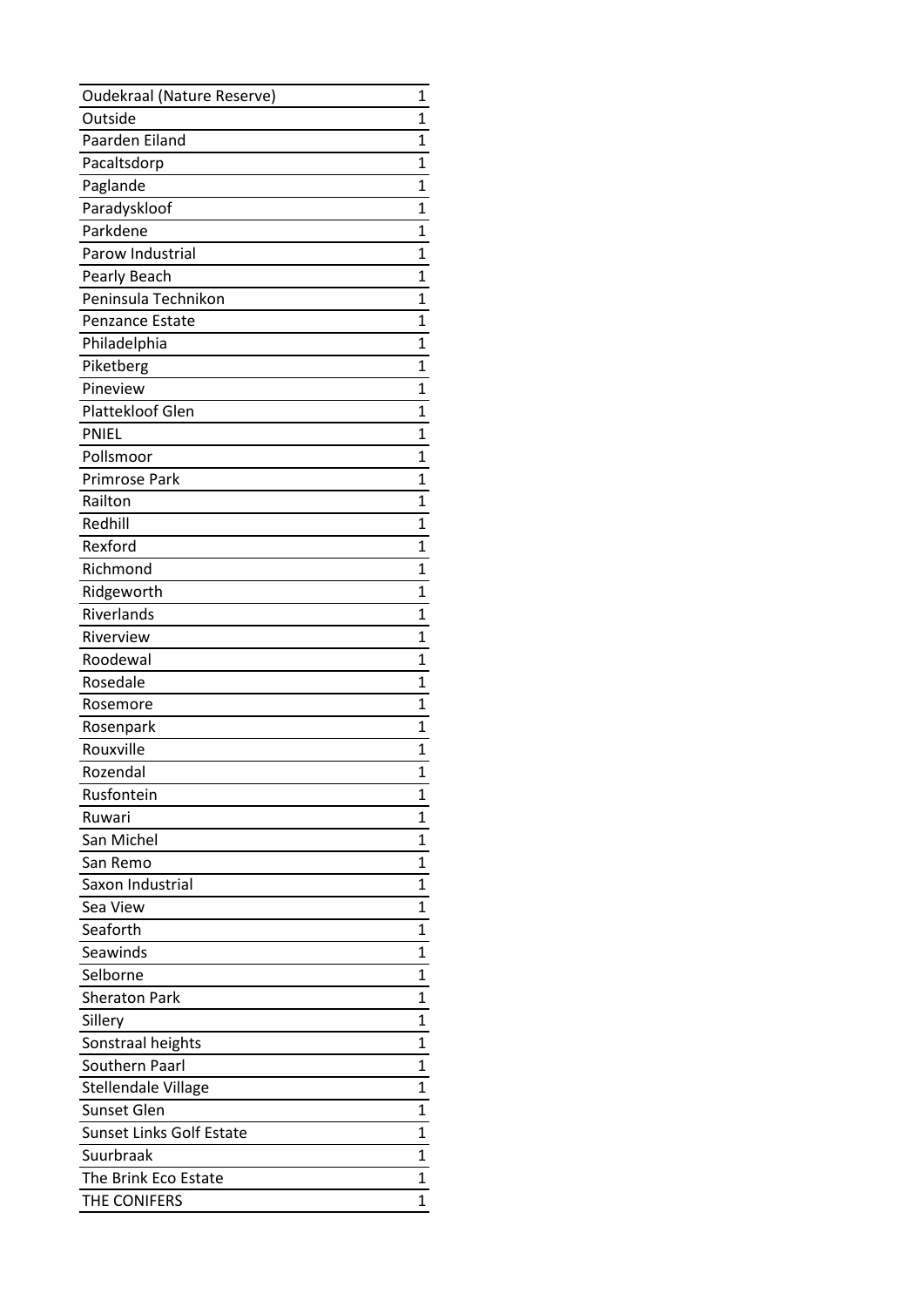| <b>Oudekraal (Nature Reserve)</b> | 1              |
|-----------------------------------|----------------|
| Outside                           | 1              |
| Paarden Eiland                    | 1              |
| Pacaltsdorp                       | 1              |
| Paglande                          | 1              |
| Paradyskloof                      | 1              |
| Parkdene                          | 1              |
| Parow Industrial                  | $\overline{1}$ |
| Pearly Beach                      | 1              |
| Peninsula Technikon               | 1              |
| <b>Penzance Estate</b>            | 1              |
| Philadelphia                      | 1              |
| Piketberg                         | 1              |
| Pineview                          | 1              |
| Plattekloof Glen                  | 1              |
| <b>PNIEL</b>                      | 1              |
| Pollsmoor                         | 1              |
| Primrose Park                     | 1              |
| Railton                           | 1              |
| Redhill                           | 1              |
| Rexford                           | 1              |
| Richmond                          | $\overline{1}$ |
| Ridgeworth                        | 1              |
| Riverlands                        | 1              |
| Riverview                         | 1              |
| Roodewal                          | 1              |
| Rosedale                          | 1              |
| Rosemore                          | 1              |
| Rosenpark                         | 1              |
| Rouxville                         | 1              |
| Rozendal                          | 1              |
| Rusfontein                        | 1              |
| Ruwari                            | 1              |
| San Michel                        | 1              |
| San Remo                          | 1              |
| Saxon Industrial                  | 1              |
| Sea View                          | 1              |
| Seaforth                          | 1              |
| Seawinds                          | 1              |
| Selborne                          | 1              |
| <b>Sheraton Park</b>              | 1              |
| Sillery                           | 1              |
| Sonstraal heights                 | 1              |
| Southern Paarl                    | 1              |
| <b>Stellendale Village</b>        | 1              |
| Sunset Glen                       | 1              |
| Sunset Links Golf Estate          | 1              |
| Suurbraak                         | 1              |
| The Brink Eco Estate              | 1              |
| THE CONIFERS                      | 1              |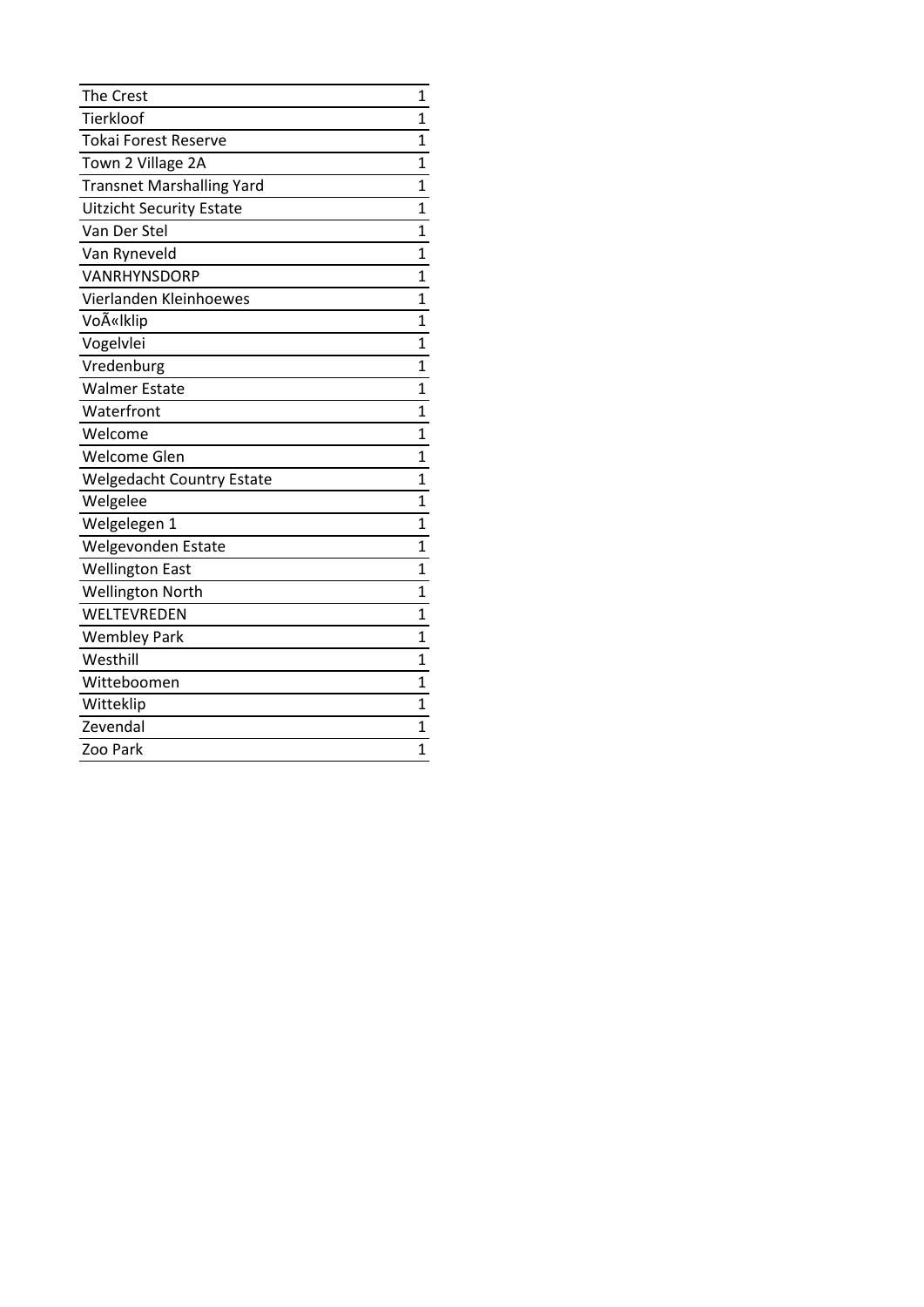| <b>The Crest</b>                 | $\mathbf 1$  |
|----------------------------------|--------------|
| Tierkloof                        | $\mathbf{1}$ |
| <b>Tokai Forest Reserve</b>      | 1            |
| Town 2 Village 2A                | 1            |
| <b>Transnet Marshalling Yard</b> | $\mathbf 1$  |
| <b>Uitzicht Security Estate</b>  | 1            |
| Van Der Stel                     | $\mathbf 1$  |
| Van Ryneveld                     | 1            |
| VANRHYNSDORP                     | 1            |
| Vierlanden Kleinhoewes           | 1            |
| VoëIklip                         | 1            |
| Vogelvlei                        | 1            |
| Vredenburg                       | 1            |
| <b>Walmer Estate</b>             | 1            |
| Waterfront                       | 1            |
| Welcome                          | 1            |
| Welcome Glen                     | 1            |
| <b>Welgedacht Country Estate</b> | 1            |
| Welgelee                         | 1            |
| Welgelegen 1                     | 1            |
| Welgevonden Estate               | 1            |
| <b>Wellington East</b>           | 1            |
| <b>Wellington North</b>          | 1            |
| WELTEVREDEN                      | 1            |
| <b>Wembley Park</b>              | 1            |
| Westhill                         | 1            |
| Witteboomen                      | 1            |
| Witteklip                        | 1            |
| Zevendal                         | 1            |
| Zoo Park                         | 1            |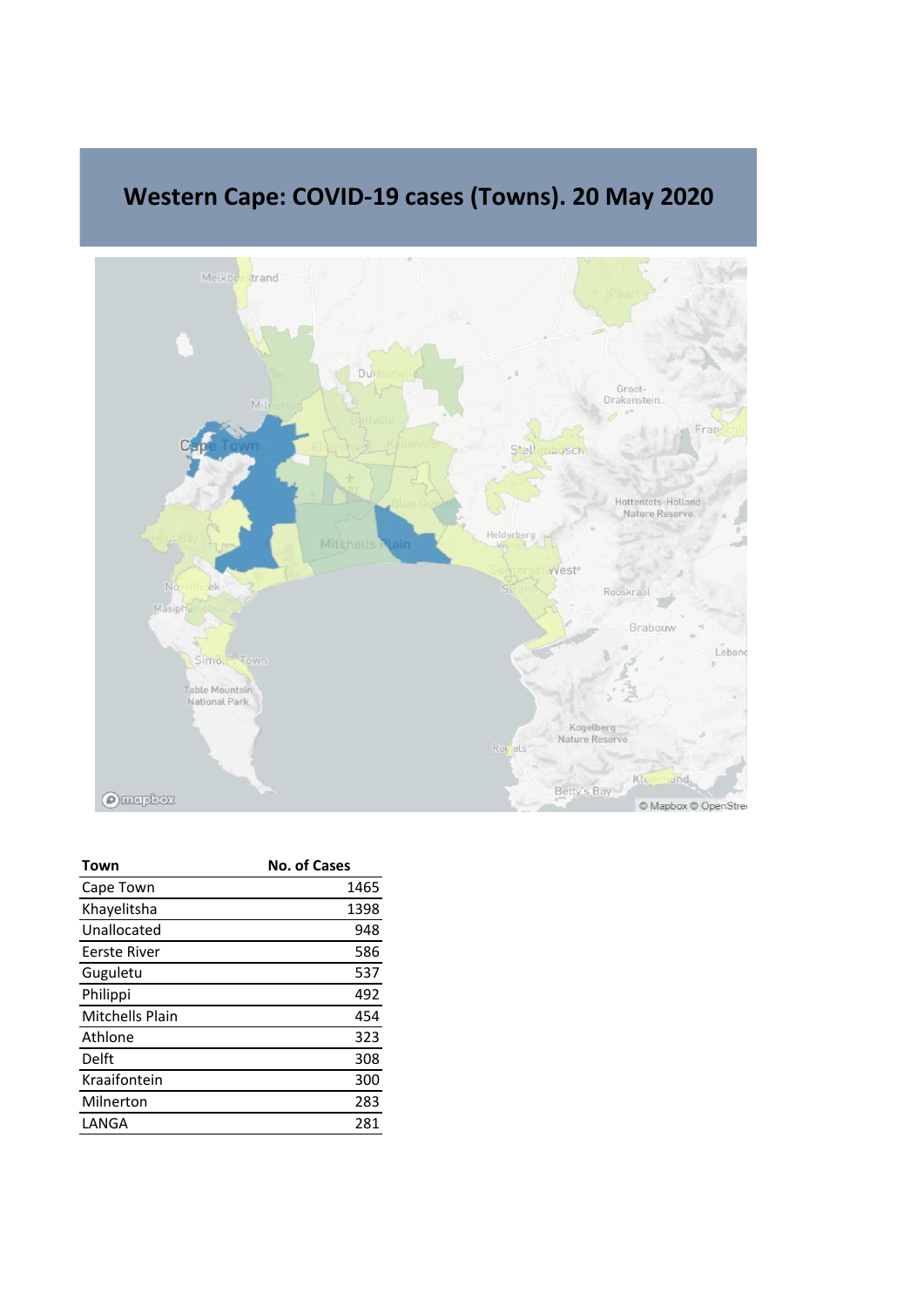

## **Western Cape: COVID-19 cases (Towns). 20 May 2020**

| Town                   | <b>No. of Cases</b> |
|------------------------|---------------------|
| Cape Town              | 1465                |
| Khayelitsha            | 1398                |
| Unallocated            | 948                 |
| Eerste River           | 586                 |
| Guguletu               | 537                 |
| Philippi               | 492                 |
| <b>Mitchells Plain</b> | 454                 |
| Athlone                | 323                 |
| Delft                  | 308                 |
| Kraaifontein           | 300                 |
| Milnerton              | 283                 |
| LANGA                  | 281                 |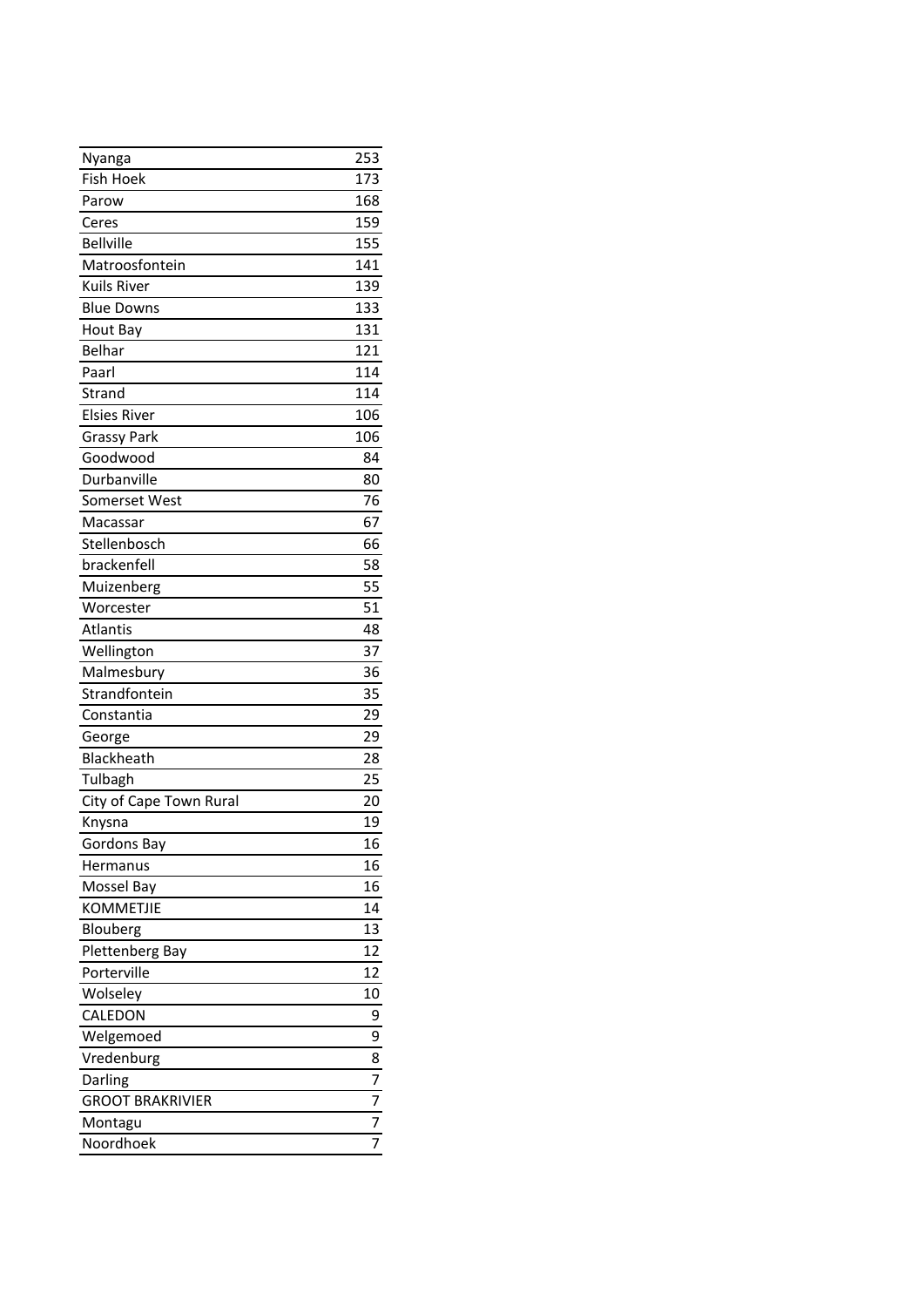| Nyanga                  | 253 |
|-------------------------|-----|
| <b>Fish Hoek</b>        | 173 |
| Parow                   | 168 |
| Ceres                   | 159 |
| <b>Bellville</b>        | 155 |
| Matroosfontein          | 141 |
| <b>Kuils River</b>      | 139 |
| <b>Blue Downs</b>       | 133 |
| Hout Bay                | 131 |
| Belhar                  | 121 |
| Paarl                   | 114 |
| Strand                  | 114 |
| <b>Elsies River</b>     | 106 |
| <b>Grassy Park</b>      | 106 |
| Goodwood                | 84  |
| Durbanville             | 80  |
| Somerset West           | 76  |
| Macassar                | 67  |
| Stellenbosch            | 66  |
| brackenfell             | 58  |
| Muizenberg              | 55  |
| Worcester               | 51  |
| Atlantis                | 48  |
| Wellington              | 37  |
| Malmesbury              | 36  |
| Strandfontein           | 35  |
| Constantia              | 29  |
| George                  | 29  |
| Blackheath              | 28  |
| Tulbagh                 | 25  |
| City of Cape Town Rural | 20  |
| Knysna                  | 19  |
| Gordons Bay             | 16  |
| Hermanus                | 16  |
| Mossel Bay              | 16  |
| <b>KOMMETJIE</b>        | 14  |
| Blouberg                | 13  |
| Plettenberg Bay         | 12  |
| Porterville             | 12  |
| Wolseley                | 10  |
| CALEDON                 | 9   |
| Welgemoed               | 9   |
| Vredenburg              | 8   |
| Darling                 | 7   |
| <b>GROOT BRAKRIVIER</b> | 7   |
| Montagu                 | 7   |
| Noordhoek               | 7   |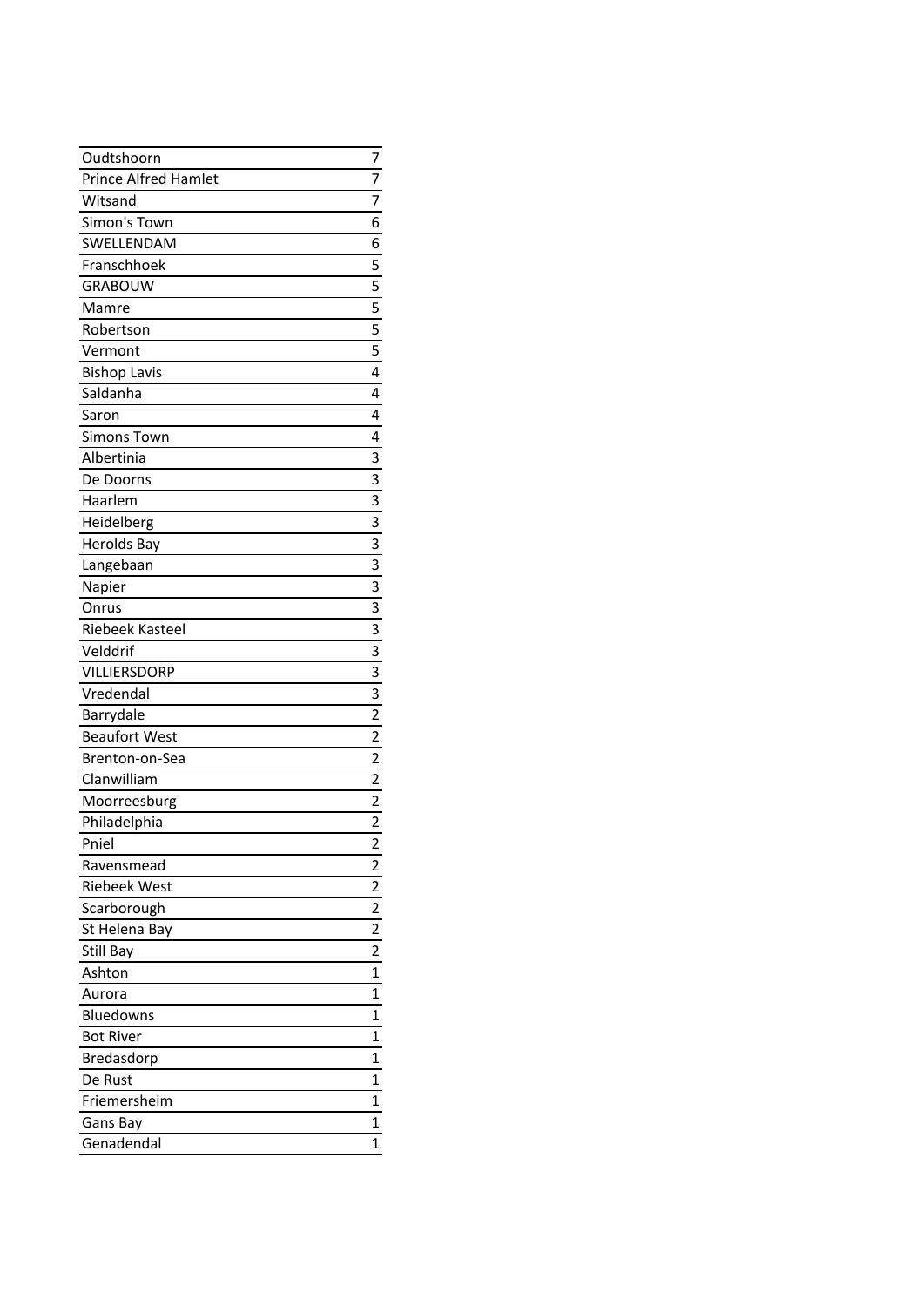| Oudtshoorn           | 7                       |
|----------------------|-------------------------|
| Prince Alfred Hamlet | $\overline{7}$          |
| Witsand              | 7                       |
| Simon's Town         | 6                       |
| SWELLENDAM           | 6                       |
| Franschhoek          | 5                       |
| <b>GRABOUW</b>       |                         |
| Mamre                | $\frac{5}{5}$           |
| Robertson            |                         |
| Vermont              | 5                       |
| <b>Bishop Lavis</b>  | $\overline{4}$          |
| Saldanha             | $\overline{4}$          |
| Saron                | 4                       |
| <b>Simons Town</b>   | 4                       |
| Albertinia           | $\overline{3}$          |
| De Doorns            | $\overline{\mathbf{3}}$ |
| Haarlem              | $\overline{\mathbf{3}}$ |
| Heidelberg           | $\overline{\mathbf{3}}$ |
| <b>Herolds Bay</b>   | $\overline{\mathbf{3}}$ |
| Langebaan            | $\overline{3}$          |
| Napier               | $\frac{3}{3}$           |
| Onrus                |                         |
| Riebeek Kasteel      | $\frac{1}{3}$           |
| Velddrif             | $\frac{3}{3}$           |
| VILLIERSDORP         |                         |
| Vredendal            | $\frac{3}{2}$           |
| Barrydale            |                         |
| <b>Beaufort West</b> |                         |
| Brenton-on-Sea       | $\overline{2}$          |
| Clanwilliam          | $\overline{\mathbf{c}}$ |
| Moorreesburg         | $\overline{2}$          |
| Philadelphia         | $\overline{2}$          |
| Pniel                | 2                       |
| Ravensmead           | 2                       |
| Riebeek West         | 2                       |
| Scarborough          | 2                       |
| St Helena Bay        | $\overline{\mathbf{c}}$ |
| Still Bay            | 2                       |
| Ashton               | 1                       |
| Aurora               | 1                       |
| Bluedowns            | 1                       |
| <b>Bot River</b>     | 1                       |
| Bredasdorp           | 1                       |
| De Rust              | 1                       |
| Friemersheim         | 1                       |
| Gans Bay             | 1                       |
| Genadendal           | 1                       |